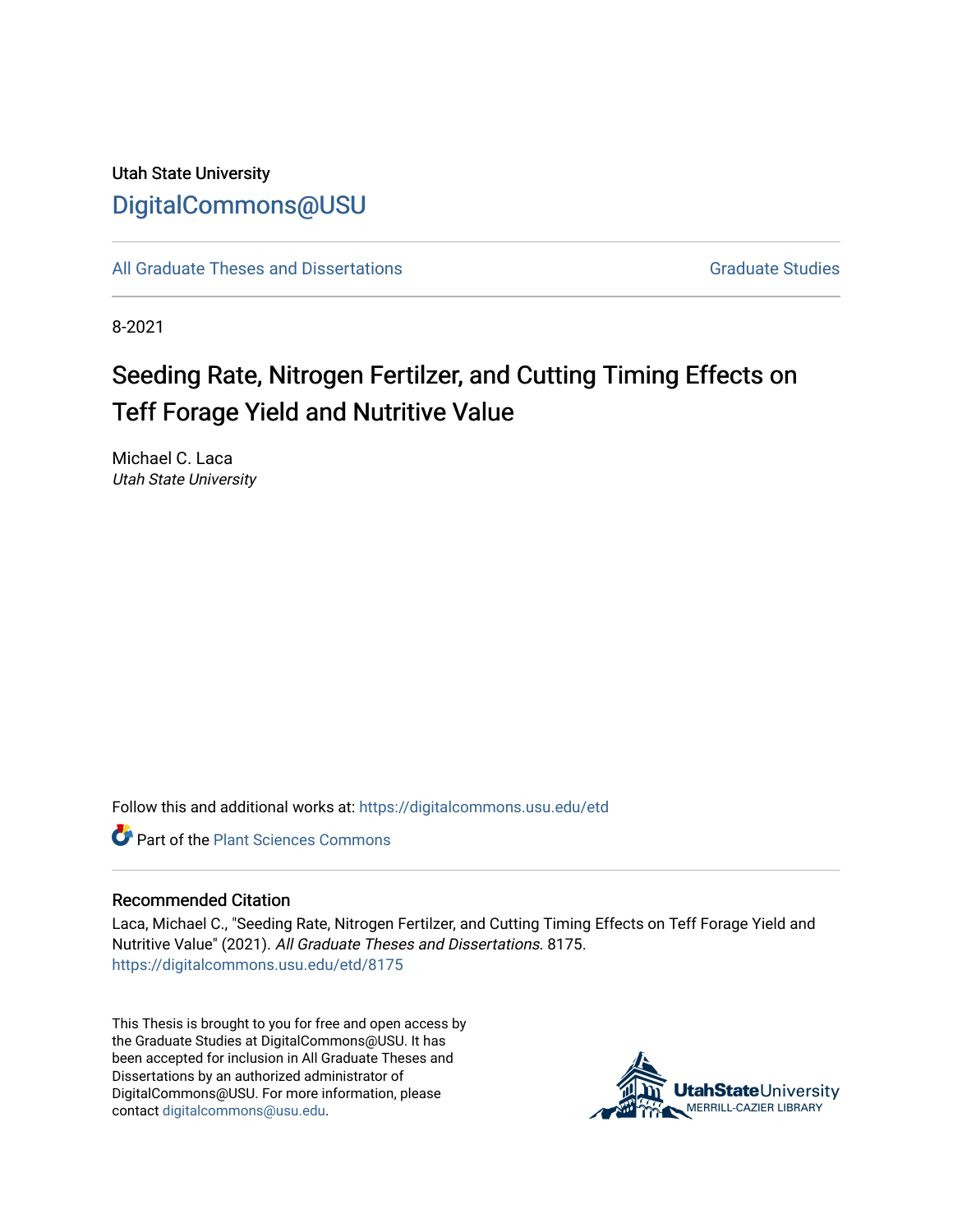## Utah State University [DigitalCommons@USU](https://digitalcommons.usu.edu/)

[All Graduate Theses and Dissertations](https://digitalcommons.usu.edu/etd) Contract Contract Contract Craduate Studies

8-2021

# Seeding Rate, Nitrogen Fertilzer, and Cutting Timing Effects on Teff Forage Yield and Nutritive Value

Michael C. Laca Utah State University

Follow this and additional works at: [https://digitalcommons.usu.edu/etd](https://digitalcommons.usu.edu/etd?utm_source=digitalcommons.usu.edu%2Fetd%2F8175&utm_medium=PDF&utm_campaign=PDFCoverPages) 

**C** Part of the [Plant Sciences Commons](http://network.bepress.com/hgg/discipline/102?utm_source=digitalcommons.usu.edu%2Fetd%2F8175&utm_medium=PDF&utm_campaign=PDFCoverPages)

#### Recommended Citation

Laca, Michael C., "Seeding Rate, Nitrogen Fertilzer, and Cutting Timing Effects on Teff Forage Yield and Nutritive Value" (2021). All Graduate Theses and Dissertations. 8175. [https://digitalcommons.usu.edu/etd/8175](https://digitalcommons.usu.edu/etd/8175?utm_source=digitalcommons.usu.edu%2Fetd%2F8175&utm_medium=PDF&utm_campaign=PDFCoverPages)

This Thesis is brought to you for free and open access by the Graduate Studies at DigitalCommons@USU. It has been accepted for inclusion in All Graduate Theses and Dissertations by an authorized administrator of DigitalCommons@USU. For more information, please contact [digitalcommons@usu.edu](mailto:digitalcommons@usu.edu).

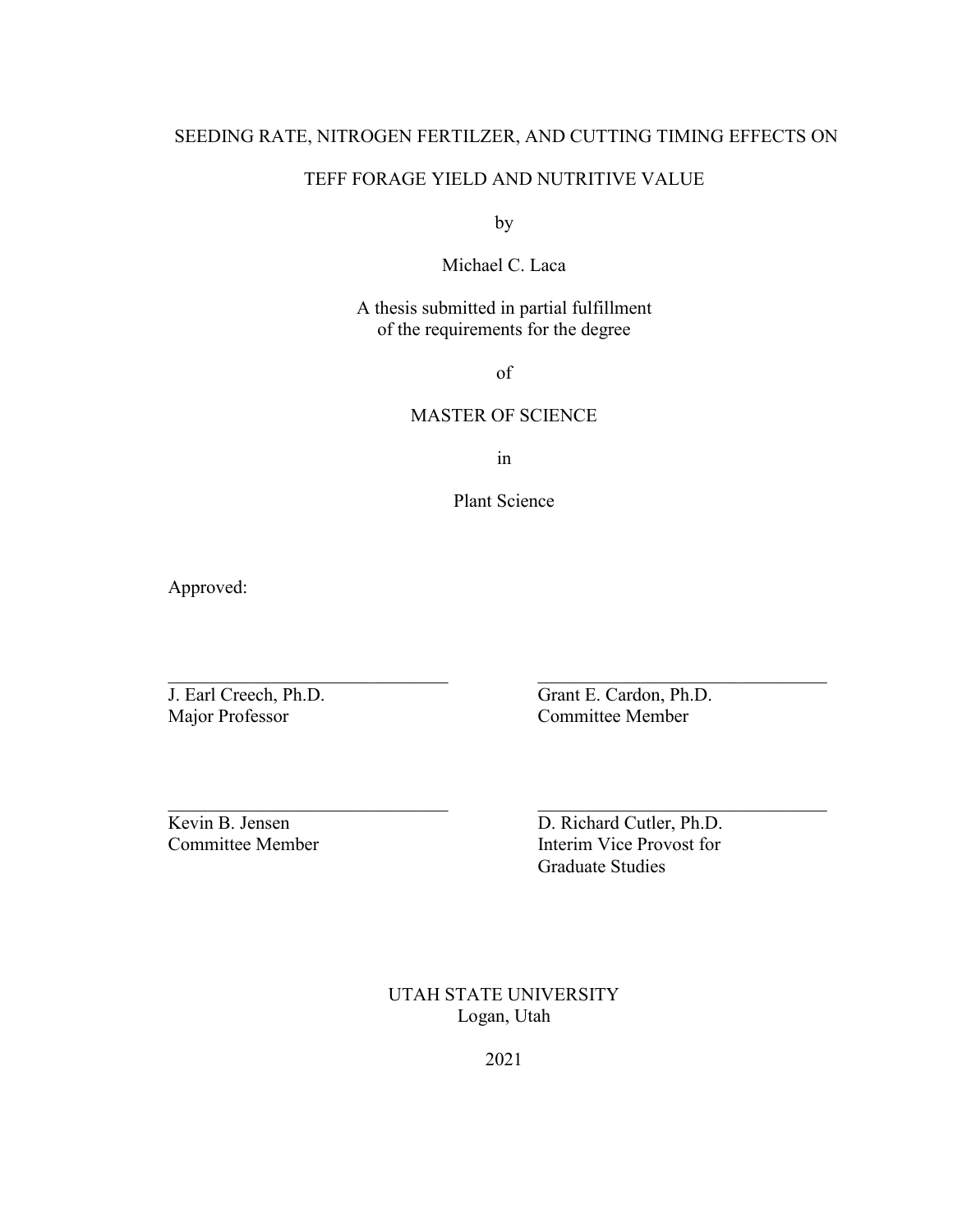## SEEDING RATE, NITROGEN FERTILZER, AND CUTTING TIMING EFFECTS ON

## TEFF FORAGE YIELD AND NUTRITIVE VALUE

by

Michael C. Laca

## A thesis submitted in partial fulfillment of the requirements for the degree

of

## MASTER OF SCIENCE

in

Plant Science

 $\frac{1}{2}$  ,  $\frac{1}{2}$  ,  $\frac{1}{2}$  ,  $\frac{1}{2}$  ,  $\frac{1}{2}$  ,  $\frac{1}{2}$  ,  $\frac{1}{2}$  ,  $\frac{1}{2}$  ,  $\frac{1}{2}$  ,  $\frac{1}{2}$  ,  $\frac{1}{2}$  ,  $\frac{1}{2}$  ,  $\frac{1}{2}$  ,  $\frac{1}{2}$  ,  $\frac{1}{2}$  ,  $\frac{1}{2}$  ,  $\frac{1}{2}$  ,  $\frac{1}{2}$  ,  $\frac{1$ 

 $\frac{1}{2}$  ,  $\frac{1}{2}$  ,  $\frac{1}{2}$  ,  $\frac{1}{2}$  ,  $\frac{1}{2}$  ,  $\frac{1}{2}$  ,  $\frac{1}{2}$  ,  $\frac{1}{2}$  ,  $\frac{1}{2}$  ,  $\frac{1}{2}$  ,  $\frac{1}{2}$  ,  $\frac{1}{2}$  ,  $\frac{1}{2}$  ,  $\frac{1}{2}$  ,  $\frac{1}{2}$  ,  $\frac{1}{2}$  ,  $\frac{1}{2}$  ,  $\frac{1}{2}$  ,  $\frac{1$ 

Approved:

Major Professor Committee Member

J. Earl Creech, Ph.D. Grant E. Cardon, Ph.D.

Kevin B. Jensen D. Richard Cutler, Ph.D. Committee Member Interim Vice Provost for Graduate Studies

> UTAH STATE UNIVERSITY Logan, Utah

> > 2021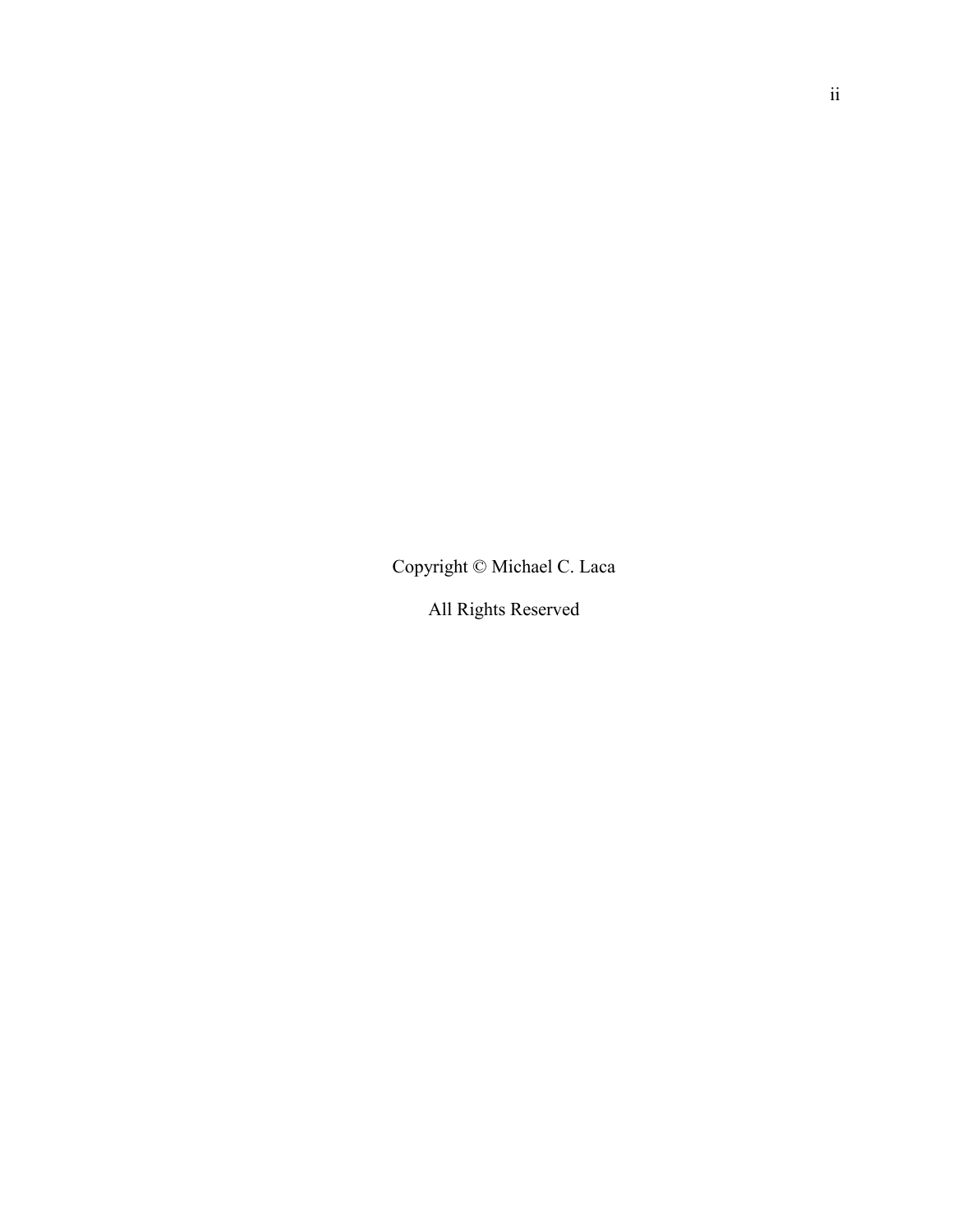Copyright © Michael C. Laca

All Rights Reserved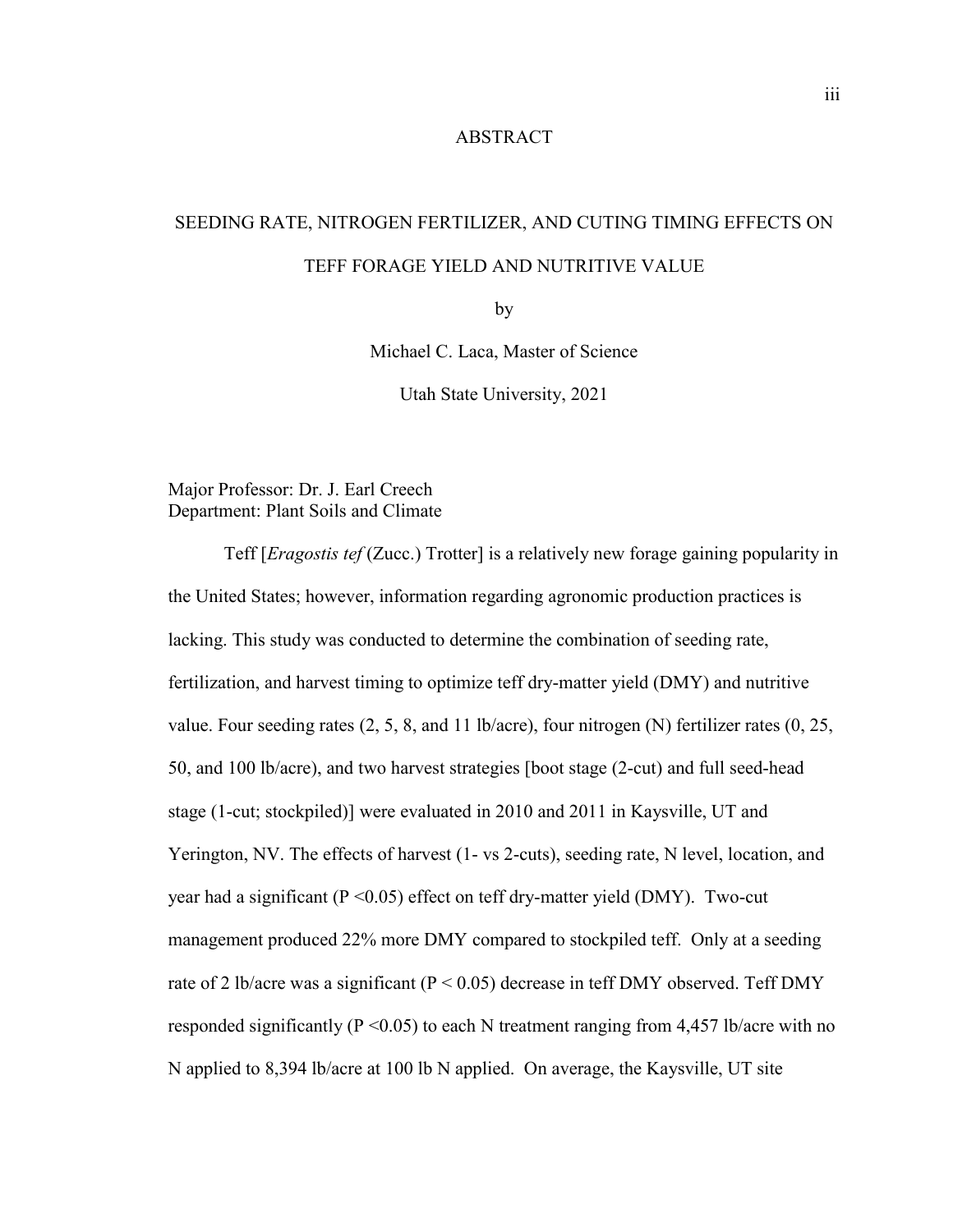## ABSTRACT

## SEEDING RATE, NITROGEN FERTILIZER, AND CUTING TIMING EFFECTS ON TEFF FORAGE YIELD AND NUTRITIVE VALUE

by

Michael C. Laca, Master of Science

Utah State University, 2021

Major Professor: Dr. J. Earl Creech Department: Plant Soils and Climate

Teff [*Eragostis tef* (Zucc.) Trotter] is a relatively new forage gaining popularity in the United States; however, information regarding agronomic production practices is lacking. This study was conducted to determine the combination of seeding rate, fertilization, and harvest timing to optimize teff dry-matter yield (DMY) and nutritive value. Four seeding rates  $(2, 5, 8, \text{ and } 11 \text{ lb/acre})$ , four nitrogen (N) fertilizer rates  $(0, 25, \text{ } 11 \text{ lb/acre})$ 50, and 100 lb/acre), and two harvest strategies [boot stage (2-cut) and full seed-head stage (1-cut; stockpiled)] were evaluated in 2010 and 2011 in Kaysville, UT and Yerington, NV. The effects of harvest (1- vs 2-cuts), seeding rate, N level, location, and year had a significant ( $P \le 0.05$ ) effect on teff dry-matter yield (DMY). Two-cut management produced 22% more DMY compared to stockpiled teff. Only at a seeding rate of 2 lb/acre was a significant ( $P < 0.05$ ) decrease in teff DMY observed. Teff DMY responded significantly ( $P \le 0.05$ ) to each N treatment ranging from 4,457 lb/acre with no N applied to 8,394 lb/acre at 100 lb N applied. On average, the Kaysville, UT site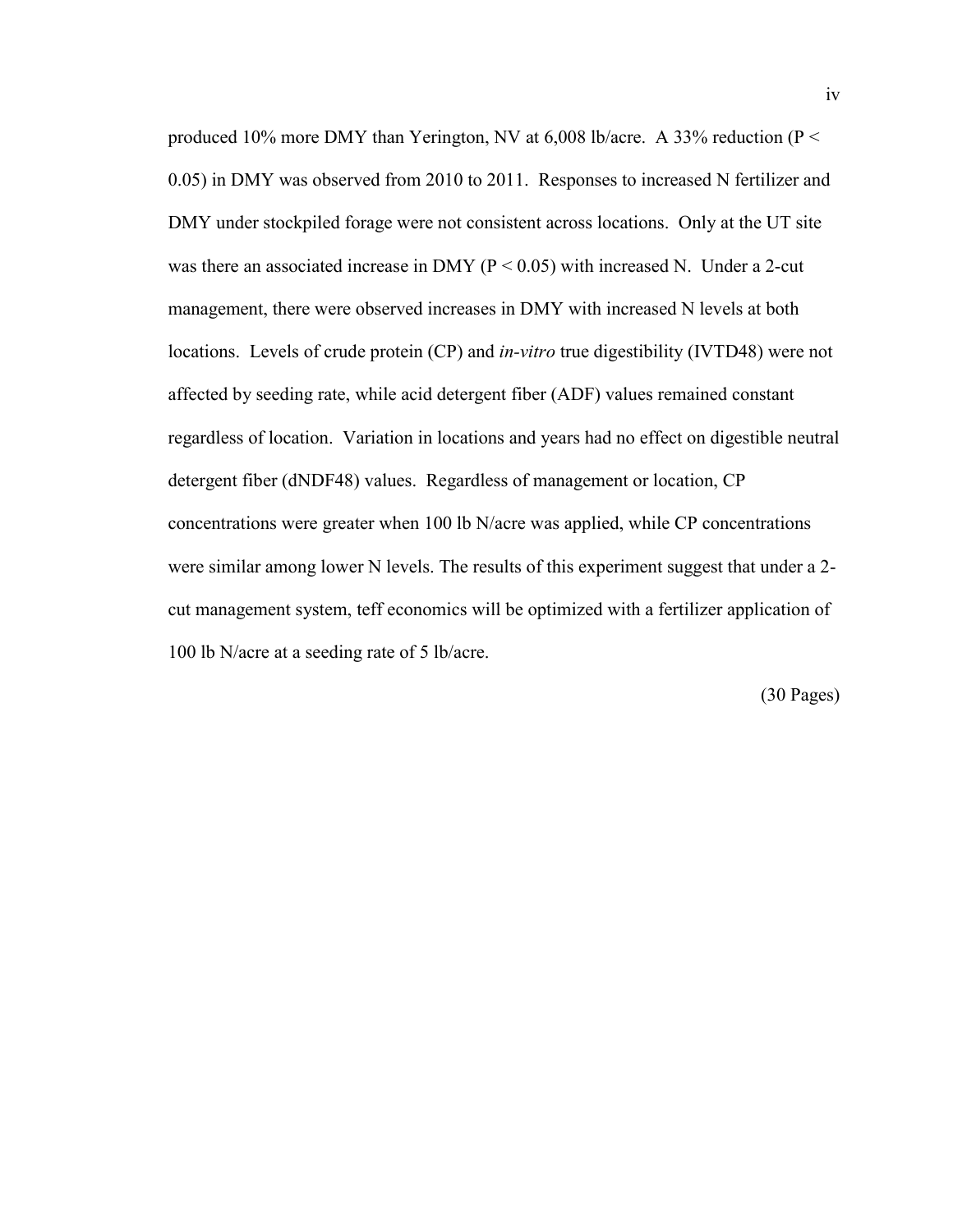produced 10% more DMY than Yerington, NV at 6,008 lb/acre. A 33% reduction (P < 0.05) in DMY was observed from 2010 to 2011. Responses to increased N fertilizer and DMY under stockpiled forage were not consistent across locations. Only at the UT site was there an associated increase in DMY ( $P < 0.05$ ) with increased N. Under a 2-cut management, there were observed increases in DMY with increased N levels at both locations. Levels of crude protein (CP) and *in-vitro* true digestibility (IVTD48) were not affected by seeding rate, while acid detergent fiber (ADF) values remained constant regardless of location. Variation in locations and years had no effect on digestible neutral detergent fiber (dNDF48) values. Regardless of management or location, CP concentrations were greater when 100 lb N/acre was applied, while CP concentrations were similar among lower N levels. The results of this experiment suggest that under a 2 cut management system, teff economics will be optimized with a fertilizer application of 100 lb N/acre at a seeding rate of 5 lb/acre.

(30 Pages)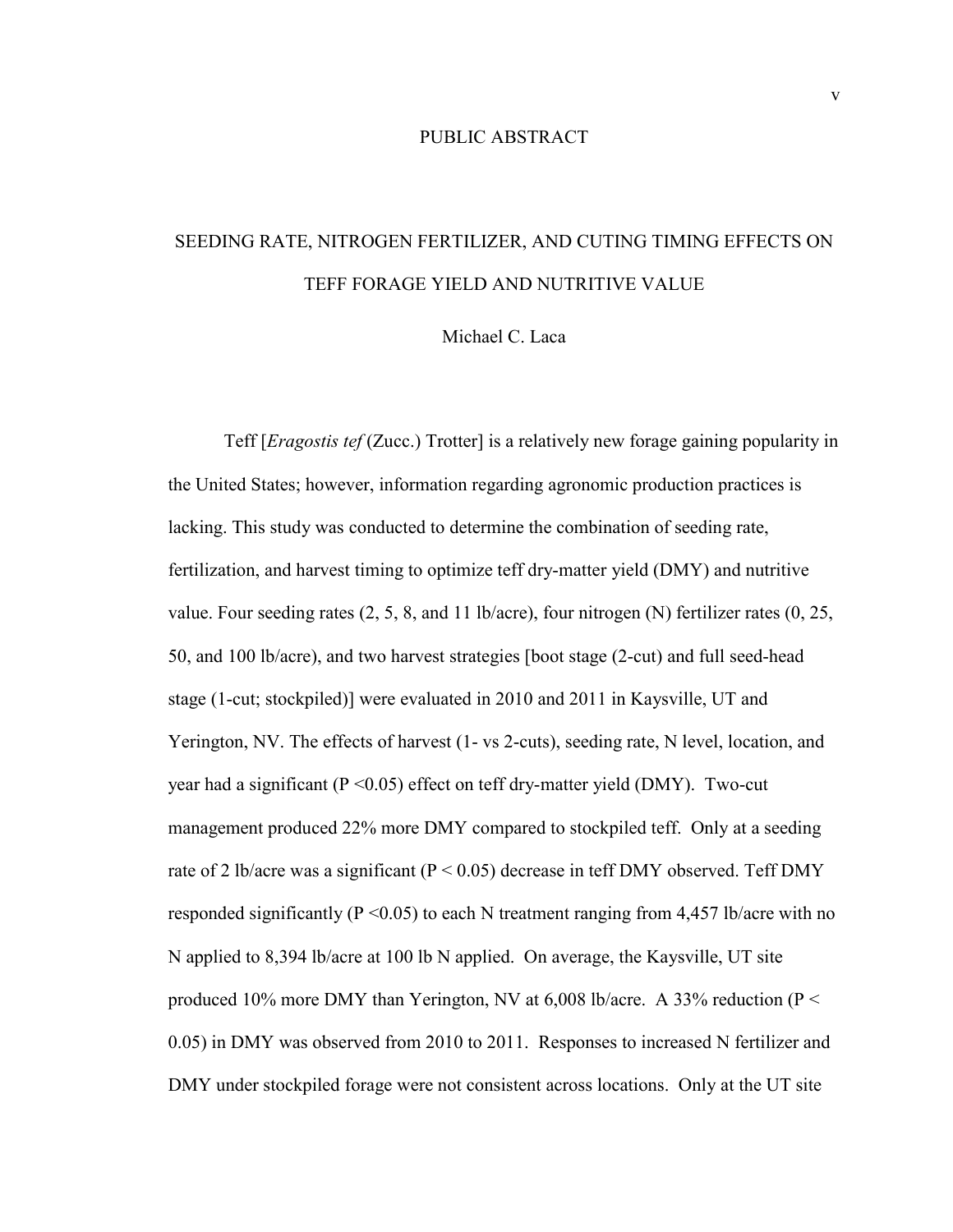## PUBLIC ABSTRACT

# SEEDING RATE, NITROGEN FERTILIZER, AND CUTING TIMING EFFECTS ON TEFF FORAGE YIELD AND NUTRITIVE VALUE

Michael C. Laca

Teff [*Eragostis tef* (Zucc.) Trotter] is a relatively new forage gaining popularity in the United States; however, information regarding agronomic production practices is lacking. This study was conducted to determine the combination of seeding rate, fertilization, and harvest timing to optimize teff dry-matter yield (DMY) and nutritive value. Four seeding rates (2, 5, 8, and 11 lb/acre), four nitrogen (N) fertilizer rates (0, 25, 50, and 100 lb/acre), and two harvest strategies [boot stage (2-cut) and full seed-head stage (1-cut; stockpiled)] were evaluated in 2010 and 2011 in Kaysville, UT and Yerington, NV. The effects of harvest (1- vs 2-cuts), seeding rate, N level, location, and year had a significant ( $P \le 0.05$ ) effect on teff dry-matter yield (DMY). Two-cut management produced 22% more DMY compared to stockpiled teff. Only at a seeding rate of 2 lb/acre was a significant ( $P < 0.05$ ) decrease in teff DMY observed. Teff DMY responded significantly ( $P \le 0.05$ ) to each N treatment ranging from 4,457 lb/acre with no N applied to 8,394 lb/acre at 100 lb N applied. On average, the Kaysville, UT site produced 10% more DMY than Yerington, NV at 6,008 lb/acre. A 33% reduction ( $P <$ 0.05) in DMY was observed from 2010 to 2011. Responses to increased N fertilizer and DMY under stockpiled forage were not consistent across locations. Only at the UT site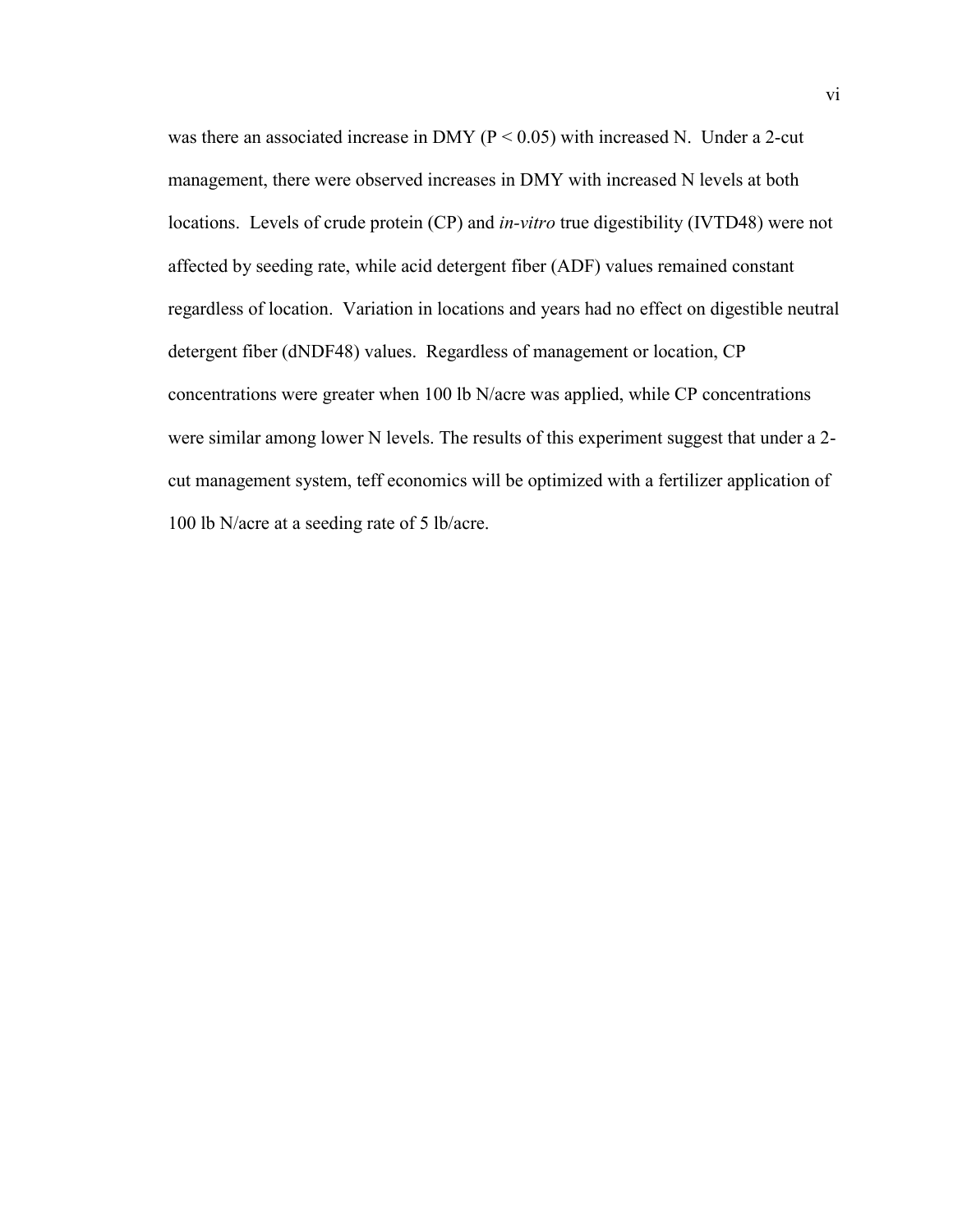was there an associated increase in DMY ( $P < 0.05$ ) with increased N. Under a 2-cut management, there were observed increases in DMY with increased N levels at both locations. Levels of crude protein (CP) and *in-vitro* true digestibility (IVTD48) were not affected by seeding rate, while acid detergent fiber (ADF) values remained constant regardless of location. Variation in locations and years had no effect on digestible neutral detergent fiber (dNDF48) values. Regardless of management or location, CP concentrations were greater when 100 lb N/acre was applied, while CP concentrations were similar among lower N levels. The results of this experiment suggest that under a 2 cut management system, teff economics will be optimized with a fertilizer application of 100 lb N/acre at a seeding rate of 5 lb/acre.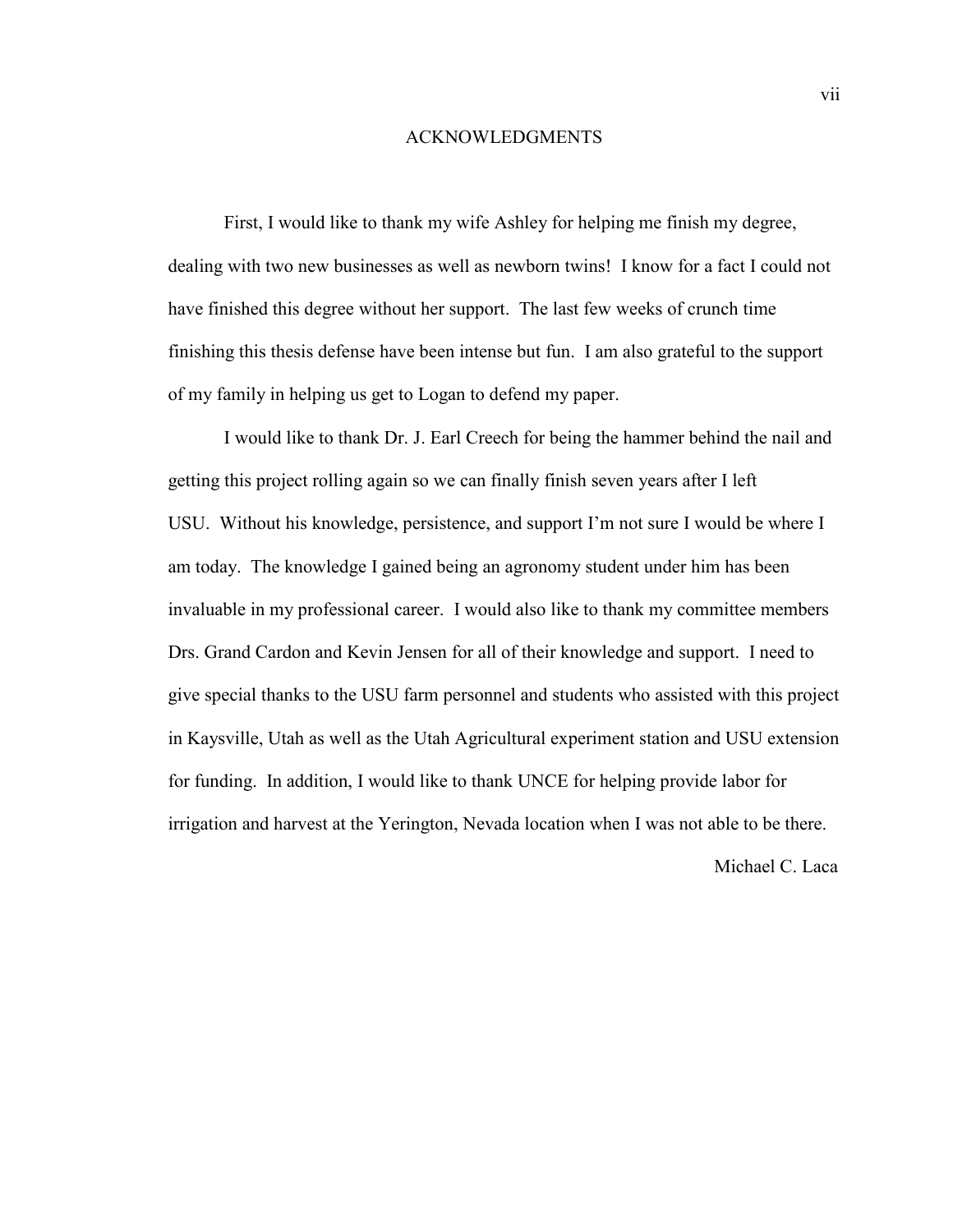#### ACKNOWLEDGMENTS

First, I would like to thank my wife Ashley for helping me finish my degree, dealing with two new businesses as well as newborn twins! I know for a fact I could not have finished this degree without her support. The last few weeks of crunch time finishing this thesis defense have been intense but fun. I am also grateful to the support of my family in helping us get to Logan to defend my paper.

I would like to thank Dr. J. Earl Creech for being the hammer behind the nail and getting this project rolling again so we can finally finish seven years after I left USU. Without his knowledge, persistence, and support I'm not sure I would be where I am today. The knowledge I gained being an agronomy student under him has been invaluable in my professional career. I would also like to thank my committee members Drs. Grand Cardon and Kevin Jensen for all of their knowledge and support. I need to give special thanks to the USU farm personnel and students who assisted with this project in Kaysville, Utah as well as the Utah Agricultural experiment station and USU extension for funding. In addition, I would like to thank UNCE for helping provide labor for irrigation and harvest at the Yerington, Nevada location when I was not able to be there.

Michael C. Laca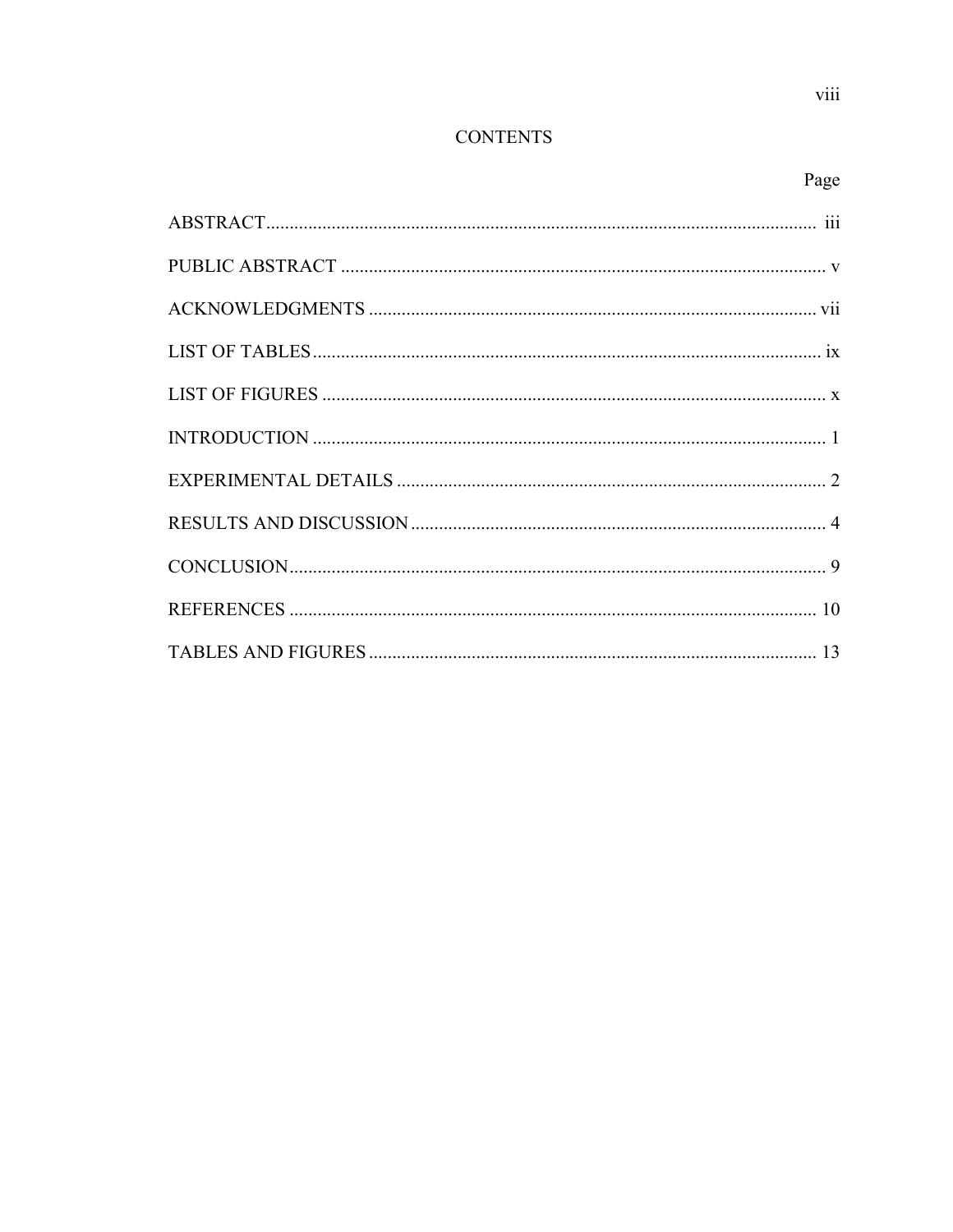## Page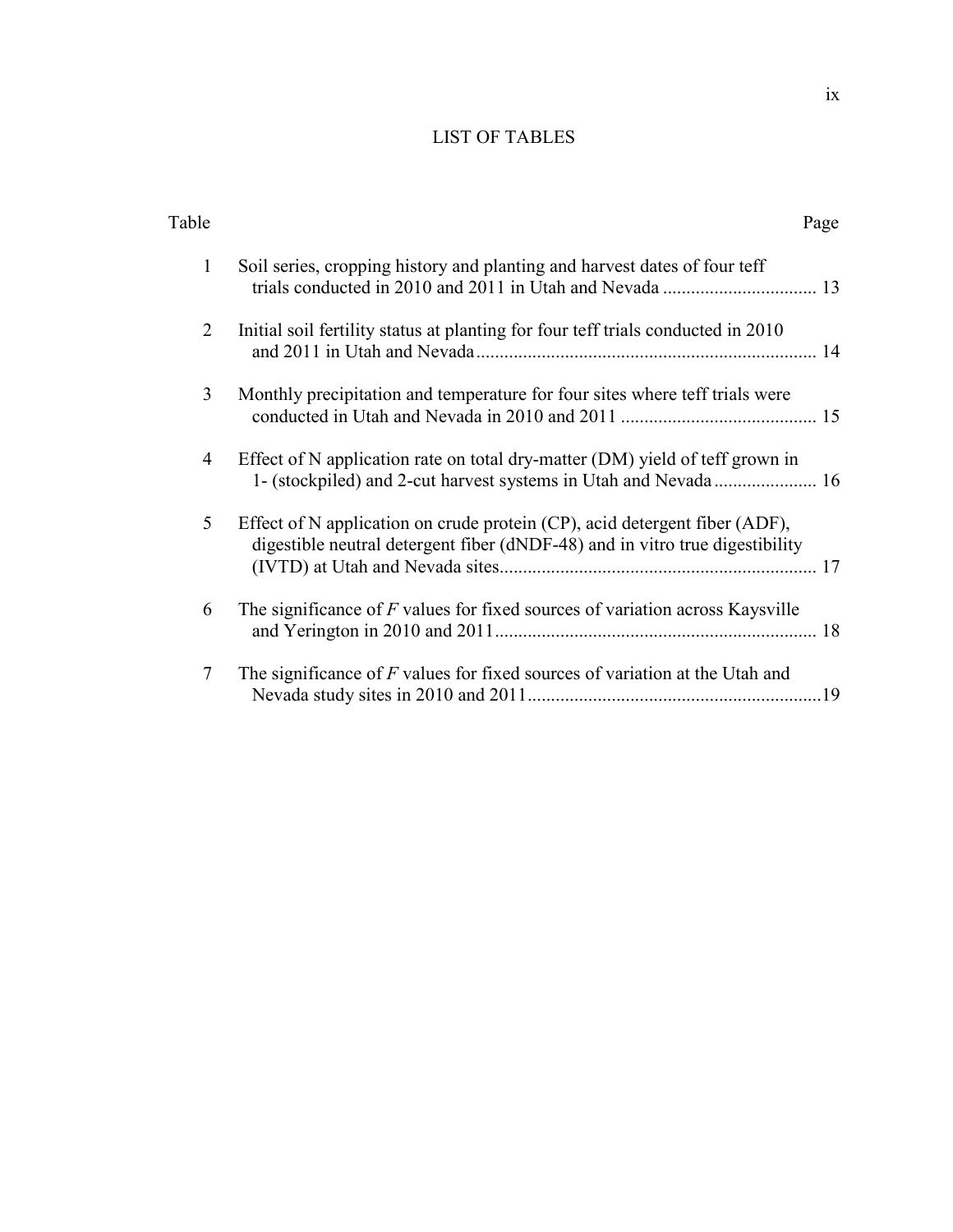## LIST OF TABLES

| Table          | Page                                                                                                                                                             |
|----------------|------------------------------------------------------------------------------------------------------------------------------------------------------------------|
| 1              | Soil series, cropping history and planting and harvest dates of four teff                                                                                        |
| 2              | Initial soil fertility status at planting for four teff trials conducted in 2010                                                                                 |
| 3              | Monthly precipitation and temperature for four sites where teff trials were                                                                                      |
| $\overline{4}$ | Effect of N application rate on total dry-matter (DM) yield of teff grown in                                                                                     |
| 5              | Effect of N application on crude protein $(CP)$ , acid detergent fiber $(ADF)$ ,<br>digestible neutral detergent fiber (dNDF-48) and in vitro true digestibility |
| 6              | The significance of $F$ values for fixed sources of variation across Kaysville                                                                                   |
| $\tau$         | The significance of $F$ values for fixed sources of variation at the Utah and                                                                                    |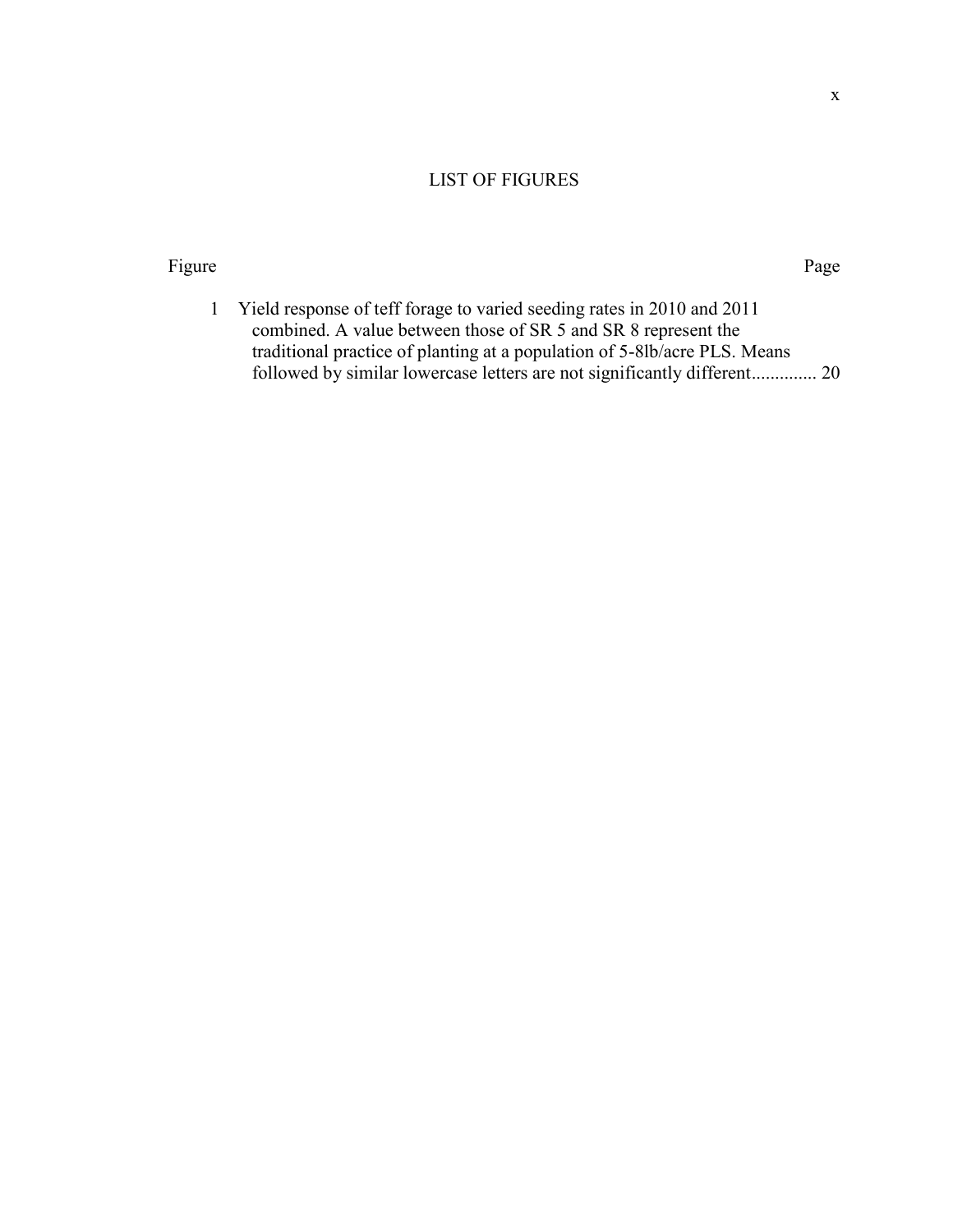## LIST OF FIGURES

#### Figure Page

1 Yield response of teff forage to varied seeding rates in 2010 and 2011 combined. A value between those of SR 5 and SR 8 represent the traditional practice of planting at a population of 5-8lb/acre PLS. Means followed by similar lowercase letters are not significantly different.............. 20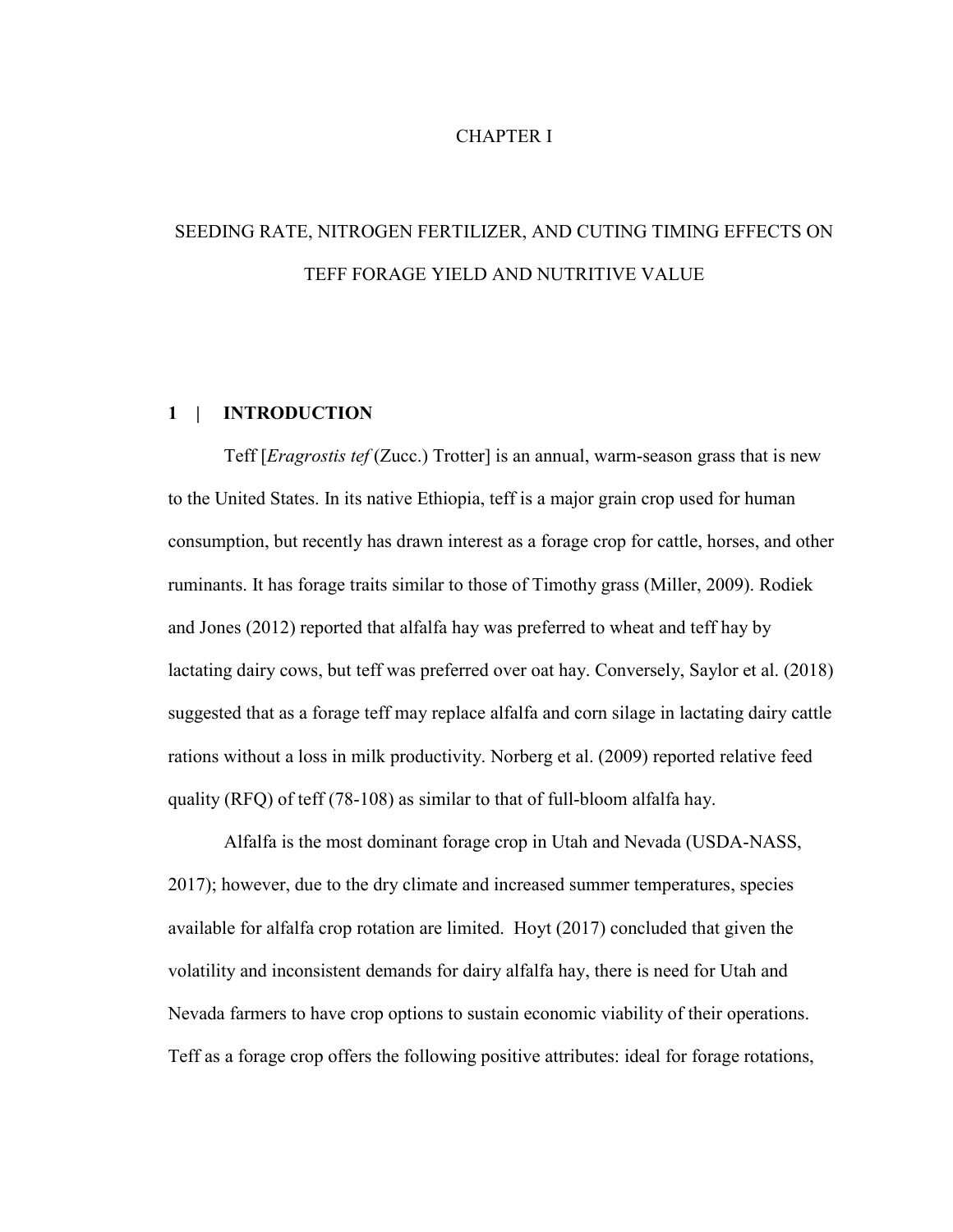## CHAPTER I

# SEEDING RATE, NITROGEN FERTILIZER, AND CUTING TIMING EFFECTS ON TEFF FORAGE YIELD AND NUTRITIVE VALUE

## **1 | INTRODUCTION**

Teff [*Eragrostis tef* (Zucc.) Trotter] is an annual, warm-season grass that is new to the United States. In its native Ethiopia, teff is a major grain crop used for human consumption, but recently has drawn interest as a forage crop for cattle, horses, and other ruminants. It has forage traits similar to those of Timothy grass (Miller, 2009). Rodiek and Jones (2012) reported that alfalfa hay was preferred to wheat and teff hay by lactating dairy cows, but teff was preferred over oat hay. Conversely, Saylor et al. (2018) suggested that as a forage teff may replace alfalfa and corn silage in lactating dairy cattle rations without a loss in milk productivity. Norberg et al. (2009) reported relative feed quality (RFQ) of teff (78-108) as similar to that of full-bloom alfalfa hay.

Alfalfa is the most dominant forage crop in Utah and Nevada (USDA-NASS, 2017); however, due to the dry climate and increased summer temperatures, species available for alfalfa crop rotation are limited. Hoyt (2017) concluded that given the volatility and inconsistent demands for dairy alfalfa hay, there is need for Utah and Nevada farmers to have crop options to sustain economic viability of their operations. Teff as a forage crop offers the following positive attributes: ideal for forage rotations,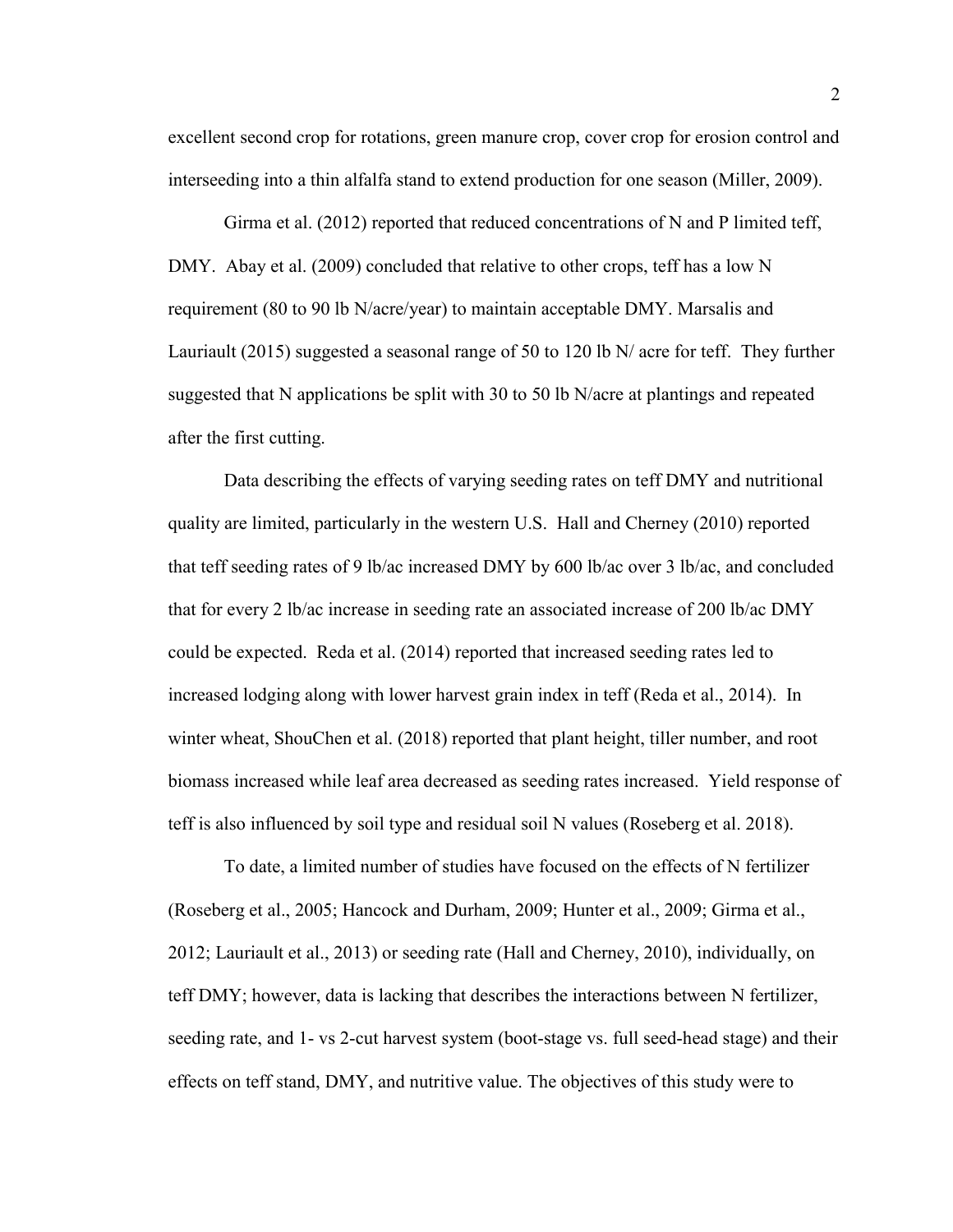excellent second crop for rotations, green manure crop, cover crop for erosion control and interseeding into a thin alfalfa stand to extend production for one season (Miller, 2009).

Girma et al. (2012) reported that reduced concentrations of N and P limited teff, DMY. Abay et al. (2009) concluded that relative to other crops, teff has a low N requirement (80 to 90 lb N/acre/year) to maintain acceptable DMY. Marsalis and Lauriault (2015) suggested a seasonal range of 50 to 120 lb N/ acre for teff. They further suggested that N applications be split with 30 to 50 lb N/acre at plantings and repeated after the first cutting.

Data describing the effects of varying seeding rates on teff DMY and nutritional quality are limited, particularly in the western U.S. Hall and Cherney (2010) reported that teff seeding rates of 9 lb/ac increased DMY by 600 lb/ac over 3 lb/ac, and concluded that for every 2 lb/ac increase in seeding rate an associated increase of 200 lb/ac DMY could be expected. Reda et al. (2014) reported that increased seeding rates led to increased lodging along with lower harvest grain index in teff (Reda et al., 2014). In winter wheat, ShouChen et al. (2018) reported that plant height, tiller number, and root biomass increased while leaf area decreased as seeding rates increased. Yield response of teff is also influenced by soil type and residual soil N values (Roseberg et al. 2018).

To date, a limited number of studies have focused on the effects of N fertilizer (Roseberg et al., 2005; Hancock and Durham, 2009; Hunter et al., 2009; Girma et al., 2012; Lauriault et al., 2013) or seeding rate (Hall and Cherney, 2010), individually, on teff DMY; however, data is lacking that describes the interactions between N fertilizer, seeding rate, and 1- vs 2-cut harvest system (boot-stage vs. full seed-head stage) and their effects on teff stand, DMY, and nutritive value. The objectives of this study were to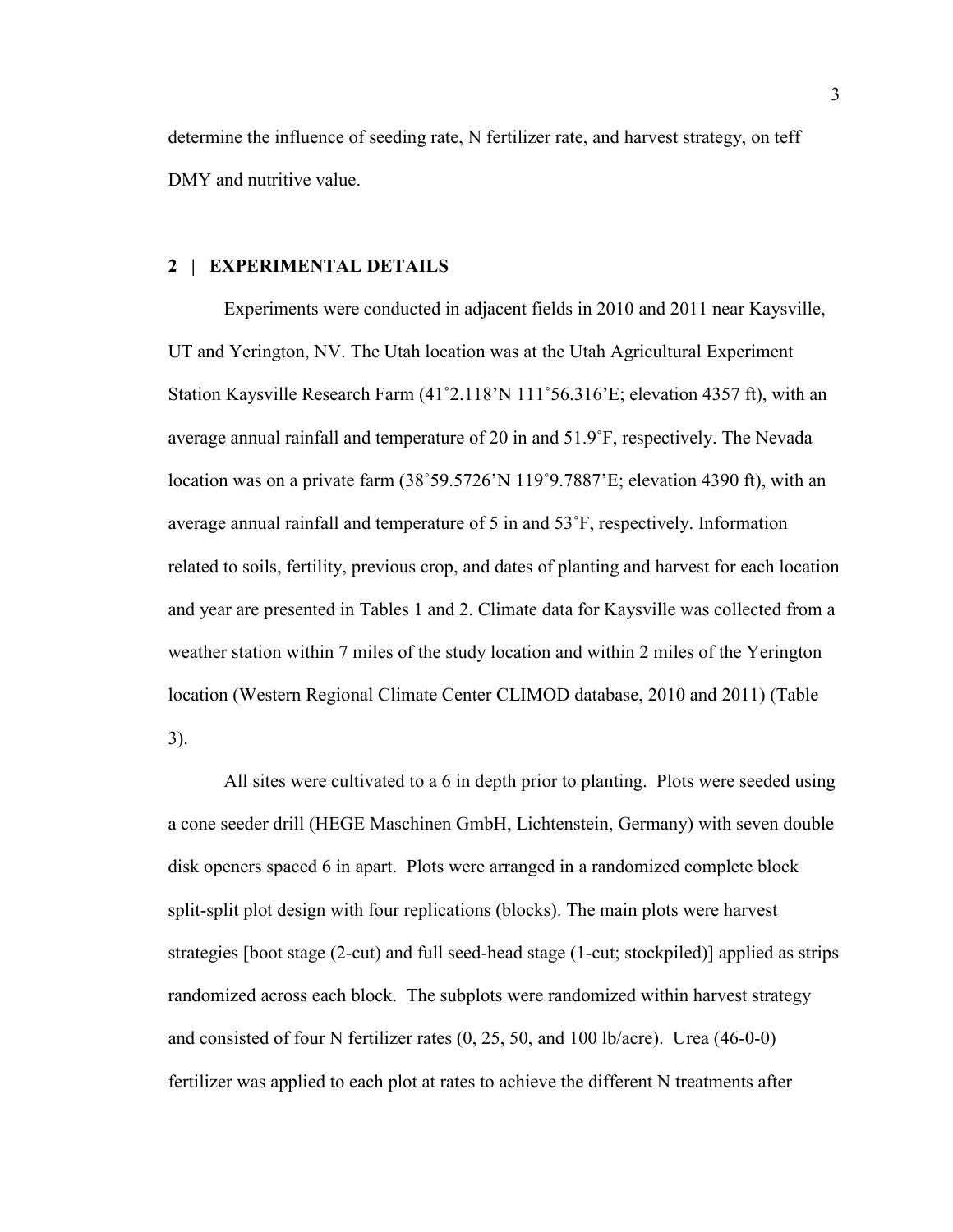determine the influence of seeding rate, N fertilizer rate, and harvest strategy, on teff DMY and nutritive value.

### **2 | EXPERIMENTAL DETAILS**

Experiments were conducted in adjacent fields in 2010 and 2011 near Kaysville, UT and Yerington, NV. The Utah location was at the Utah Agricultural Experiment Station Kaysville Research Farm (41˚2.118'N 111˚56.316'E; elevation 4357 ft), with an average annual rainfall and temperature of 20 in and 51.9˚F, respectively. The Nevada location was on a private farm  $(38°59.5726)$  N 119°9.7887'E; elevation 4390 ft), with an average annual rainfall and temperature of 5 in and 53˚F, respectively. Information related to soils, fertility, previous crop, and dates of planting and harvest for each location and year are presented in Tables 1 and 2. Climate data for Kaysville was collected from a weather station within 7 miles of the study location and within 2 miles of the Yerington location (Western Regional Climate Center CLIMOD database, 2010 and 2011) (Table 3).

All sites were cultivated to a 6 in depth prior to planting. Plots were seeded using a cone seeder drill (HEGE Maschinen GmbH, Lichtenstein, Germany) with seven double disk openers spaced 6 in apart. Plots were arranged in a randomized complete block split-split plot design with four replications (blocks). The main plots were harvest strategies [boot stage (2-cut) and full seed-head stage (1-cut; stockpiled)] applied as strips randomized across each block. The subplots were randomized within harvest strategy and consisted of four N fertilizer rates (0, 25, 50, and 100 lb/acre). Urea (46-0-0) fertilizer was applied to each plot at rates to achieve the different N treatments after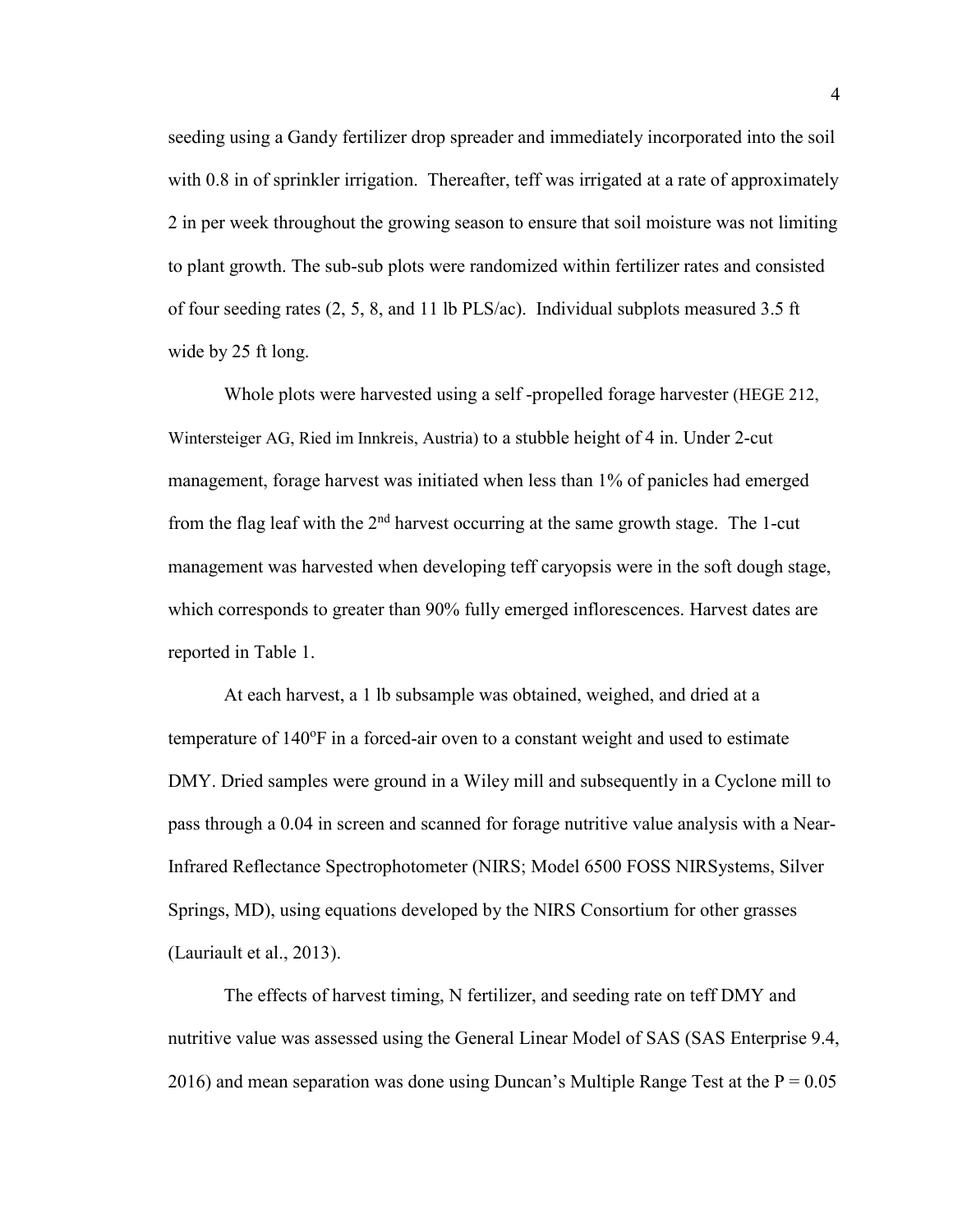seeding using a Gandy fertilizer drop spreader and immediately incorporated into the soil with 0.8 in of sprinkler irrigation. Thereafter, teff was irrigated at a rate of approximately 2 in per week throughout the growing season to ensure that soil moisture was not limiting to plant growth. The sub-sub plots were randomized within fertilizer rates and consisted of four seeding rates  $(2, 5, 8, \text{ and } 11 \text{ lb} \text{ PLS/ac})$ . Individual subplots measured 3.5 ft wide by 25 ft long.

Whole plots were harvested using a self -propelled forage harvester (HEGE 212, Wintersteiger AG, Ried im Innkreis, Austria) to a stubble height of 4 in. Under 2-cut management, forage harvest was initiated when less than 1% of panicles had emerged from the flag leaf with the  $2<sup>nd</sup>$  harvest occurring at the same growth stage. The 1-cut management was harvested when developing teff caryopsis were in the soft dough stage, which corresponds to greater than 90% fully emerged inflorescences. Harvest dates are reported in Table 1.

At each harvest, a 1 lb subsample was obtained, weighed, and dried at a temperature of 140°F in a forced-air oven to a constant weight and used to estimate DMY. Dried samples were ground in a Wiley mill and subsequently in a Cyclone mill to pass through a 0.04 in screen and scanned for forage nutritive value analysis with a Near-Infrared Reflectance Spectrophotometer (NIRS; Model 6500 FOSS NIRSystems, Silver Springs, MD), using equations developed by the NIRS Consortium for other grasses (Lauriault et al., 2013).

The effects of harvest timing, N fertilizer, and seeding rate on teff DMY and nutritive value was assessed using the General Linear Model of SAS (SAS Enterprise 9.4, 2016) and mean separation was done using Duncan's Multiple Range Test at the  $P = 0.05$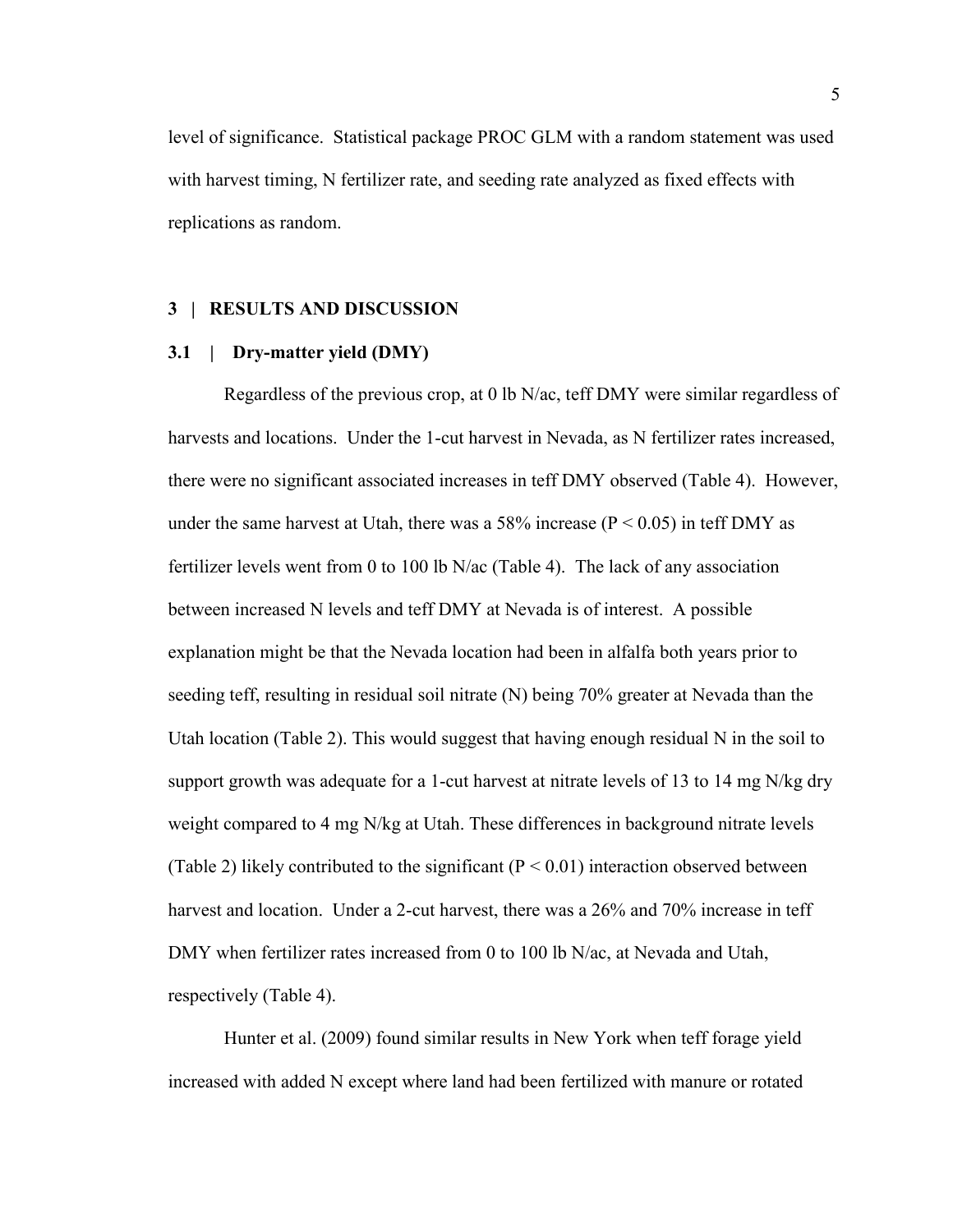level of significance. Statistical package PROC GLM with a random statement was used with harvest timing, N fertilizer rate, and seeding rate analyzed as fixed effects with replications as random.

### **3 | RESULTS AND DISCUSSION**

## **3.1 | Dry-matter yield (DMY)**

Regardless of the previous crop, at 0 lb N/ac, teff DMY were similar regardless of harvests and locations. Under the 1-cut harvest in Nevada, as N fertilizer rates increased, there were no significant associated increases in teff DMY observed (Table 4). However, under the same harvest at Utah, there was a 58% increase ( $P \le 0.05$ ) in teff DMY as fertilizer levels went from 0 to 100 lb N/ac (Table 4). The lack of any association between increased N levels and teff DMY at Nevada is of interest. A possible explanation might be that the Nevada location had been in alfalfa both years prior to seeding teff, resulting in residual soil nitrate (N) being 70% greater at Nevada than the Utah location (Table 2). This would suggest that having enough residual  $N$  in the soil to support growth was adequate for a 1-cut harvest at nitrate levels of 13 to 14 mg N/kg dry weight compared to 4 mg N/kg at Utah. These differences in background nitrate levels (Table 2) likely contributed to the significant ( $P < 0.01$ ) interaction observed between harvest and location. Under a 2-cut harvest, there was a 26% and 70% increase in teff DMY when fertilizer rates increased from 0 to 100 lb N/ac, at Nevada and Utah, respectively (Table 4).

Hunter et al. (2009) found similar results in New York when teff forage yield increased with added N except where land had been fertilized with manure or rotated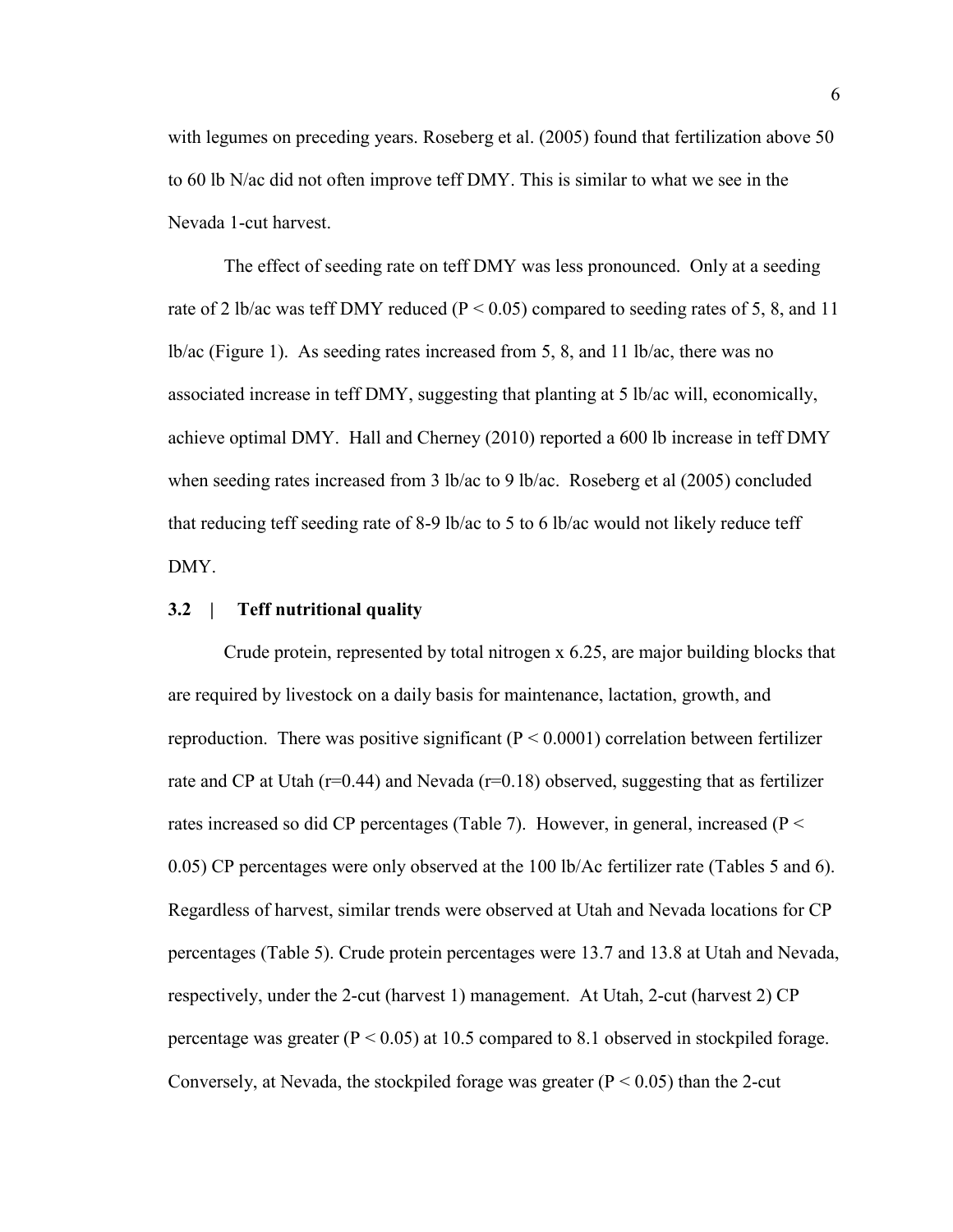with legumes on preceding years. Roseberg et al. (2005) found that fertilization above 50 to 60 lb N/ac did not often improve teff DMY. This is similar to what we see in the Nevada 1-cut harvest.

The effect of seeding rate on teff DMY was less pronounced. Only at a seeding rate of 2 lb/ac was teff DMY reduced ( $P < 0.05$ ) compared to seeding rates of 5, 8, and 11 lb/ac (Figure 1). As seeding rates increased from 5, 8, and 11 lb/ac, there was no associated increase in teff DMY, suggesting that planting at 5 lb/ac will, economically, achieve optimal DMY. Hall and Cherney (2010) reported a 600 lb increase in teff DMY when seeding rates increased from 3 lb/ac to 9 lb/ac. Roseberg et al (2005) concluded that reducing teff seeding rate of 8-9 lb/ac to 5 to 6 lb/ac would not likely reduce teff DMY.

#### **3.2 | Teff nutritional quality**

Crude protein, represented by total nitrogen x 6.25, are major building blocks that are required by livestock on a daily basis for maintenance, lactation, growth, and reproduction. There was positive significant ( $P \le 0.0001$ ) correlation between fertilizer rate and CP at Utah ( $r=0.44$ ) and Nevada ( $r=0.18$ ) observed, suggesting that as fertilizer rates increased so did CP percentages (Table 7). However, in general, increased (P < 0.05) CP percentages were only observed at the 100 lb/Ac fertilizer rate (Tables 5 and 6). Regardless of harvest, similar trends were observed at Utah and Nevada locations for CP percentages (Table 5). Crude protein percentages were 13.7 and 13.8 at Utah and Nevada, respectively, under the 2-cut (harvest 1) management. At Utah, 2-cut (harvest 2) CP percentage was greater ( $P < 0.05$ ) at 10.5 compared to 8.1 observed in stockpiled forage. Conversely, at Nevada, the stockpiled forage was greater  $(P < 0.05)$  than the 2-cut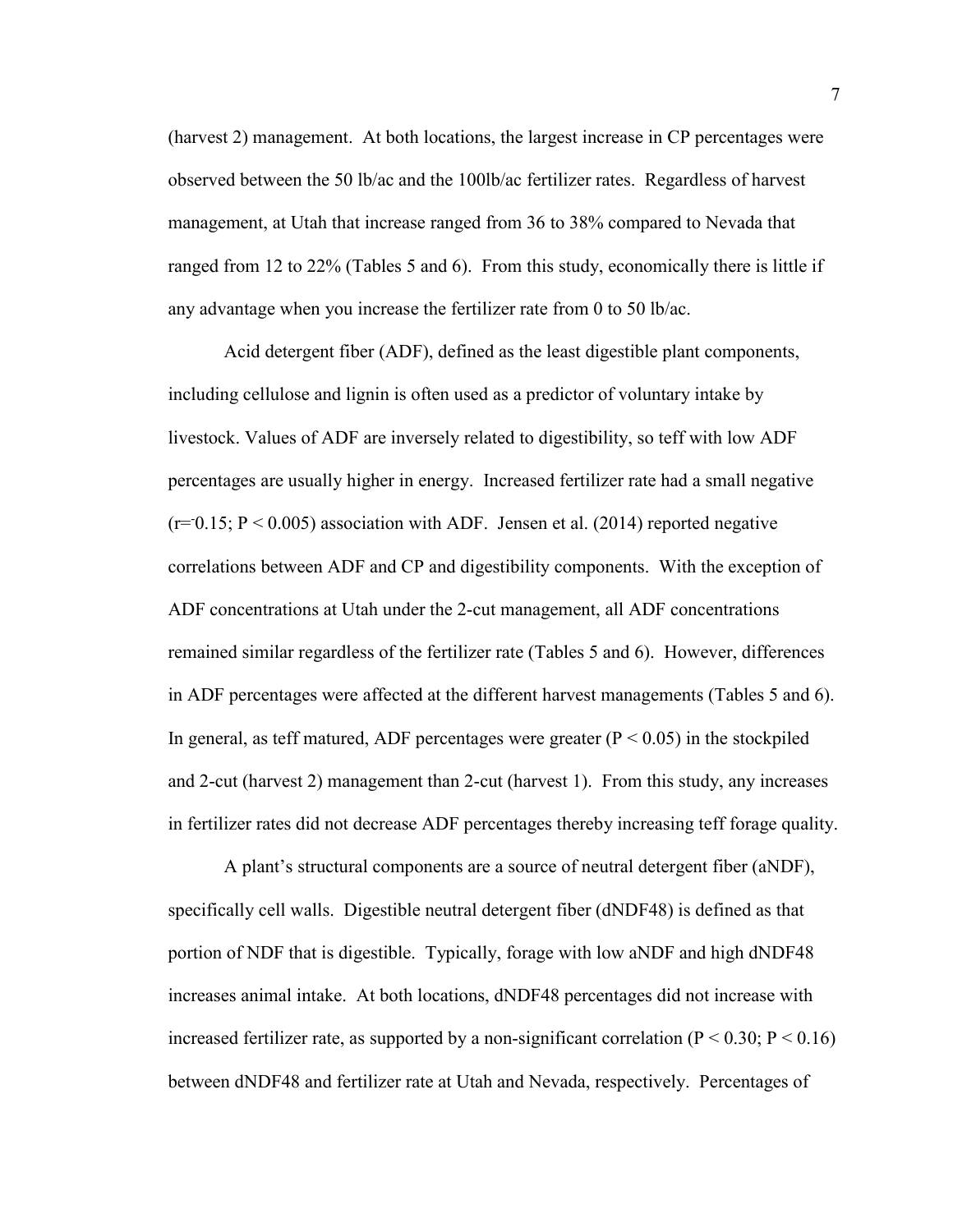(harvest 2) management. At both locations, the largest increase in CP percentages were observed between the 50 lb/ac and the 100lb/ac fertilizer rates. Regardless of harvest management, at Utah that increase ranged from 36 to 38% compared to Nevada that ranged from 12 to 22% (Tables 5 and 6). From this study, economically there is little if any advantage when you increase the fertilizer rate from 0 to 50 lb/ac.

Acid detergent fiber (ADF), defined as the least digestible plant components, including cellulose and lignin is often used as a predictor of voluntary intake by livestock. Values of ADF are inversely related to digestibility, so teff with low ADF percentages are usually higher in energy. Increased fertilizer rate had a small negative  $(r=0.15; P < 0.005)$  association with ADF. Jensen et al. (2014) reported negative correlations between ADF and CP and digestibility components. With the exception of ADF concentrations at Utah under the 2-cut management, all ADF concentrations remained similar regardless of the fertilizer rate (Tables 5 and 6). However, differences in ADF percentages were affected at the different harvest managements (Tables 5 and 6). In general, as teff matured, ADF percentages were greater  $(P < 0.05)$  in the stockpiled and 2-cut (harvest 2) management than 2-cut (harvest 1). From this study, any increases in fertilizer rates did not decrease ADF percentages thereby increasing teff forage quality.

A plant's structural components are a source of neutral detergent fiber (aNDF), specifically cell walls. Digestible neutral detergent fiber (dNDF48) is defined as that portion of NDF that is digestible. Typically, forage with low aNDF and high dNDF48 increases animal intake. At both locations, dNDF48 percentages did not increase with increased fertilizer rate, as supported by a non-significant correlation ( $P < 0.30$ ;  $P < 0.16$ ) between dNDF48 and fertilizer rate at Utah and Nevada, respectively. Percentages of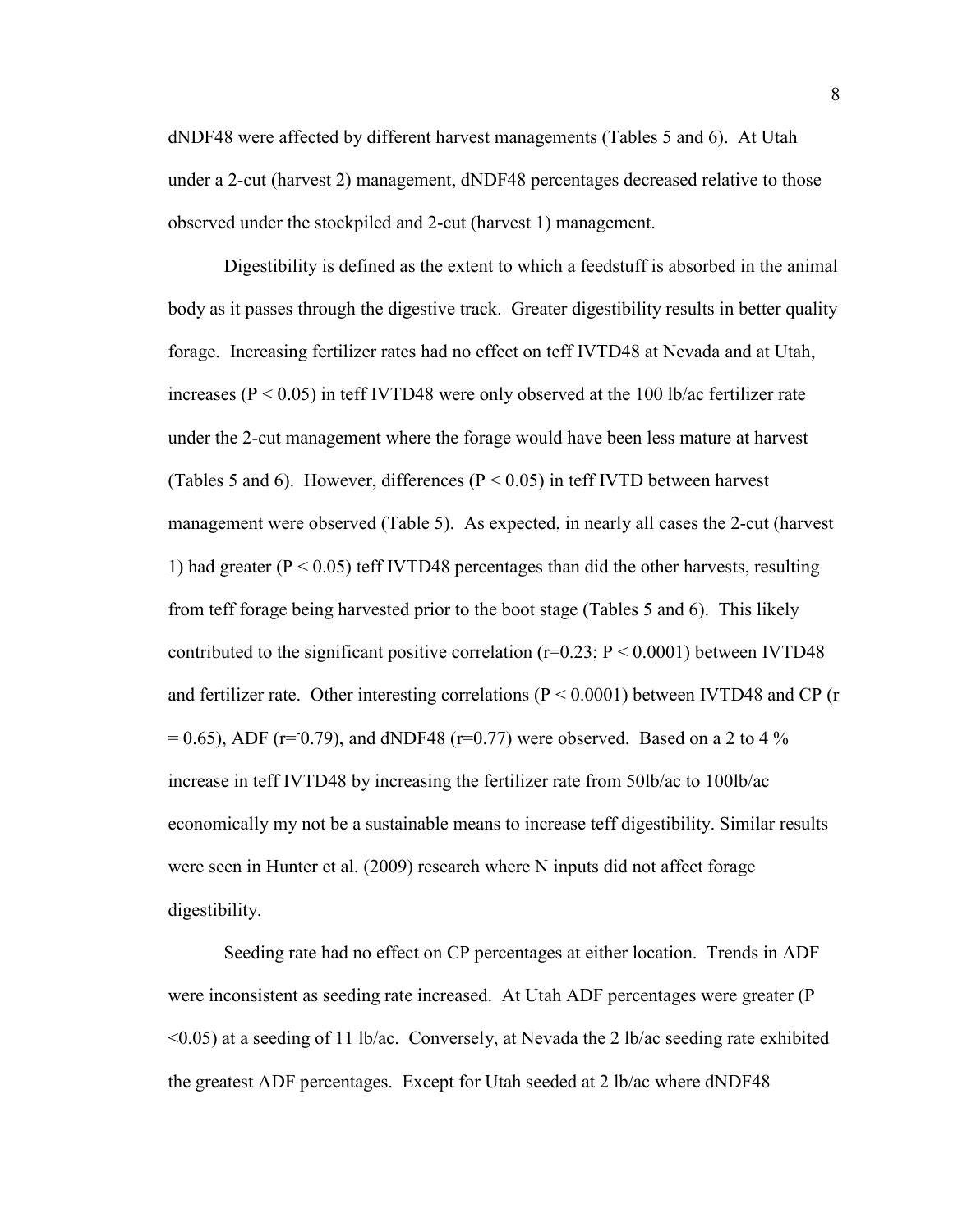dNDF48 were affected by different harvest managements (Tables 5 and 6). At Utah under a 2-cut (harvest 2) management, dNDF48 percentages decreased relative to those observed under the stockpiled and 2-cut (harvest 1) management.

Digestibility is defined as the extent to which a feedstuff is absorbed in the animal body as it passes through the digestive track. Greater digestibility results in better quality forage. Increasing fertilizer rates had no effect on teff IVTD48 at Nevada and at Utah, increases ( $P < 0.05$ ) in teff IVTD48 were only observed at the 100 lb/ac fertilizer rate under the 2-cut management where the forage would have been less mature at harvest (Tables 5 and 6). However, differences ( $P < 0.05$ ) in teff IVTD between harvest management were observed (Table 5). As expected, in nearly all cases the 2-cut (harvest 1) had greater ( $P < 0.05$ ) teff IVTD48 percentages than did the other harvests, resulting from teff forage being harvested prior to the boot stage (Tables 5 and 6). This likely contributed to the significant positive correlation  $(r=0.23; P \le 0.0001)$  between IVTD48 and fertilizer rate. Other interesting correlations ( $P < 0.0001$ ) between IVTD48 and CP (r  $= 0.65$ ), ADF (r=0.79), and dNDF48 (r=0.77) were observed. Based on a 2 to 4 % increase in teff IVTD48 by increasing the fertilizer rate from 50lb/ac to 100lb/ac economically my not be a sustainable means to increase teff digestibility. Similar results were seen in Hunter et al. (2009) research where N inputs did not affect forage digestibility.

Seeding rate had no effect on CP percentages at either location. Trends in ADF were inconsistent as seeding rate increased. At Utah ADF percentages were greater (P <0.05) at a seeding of 11 lb/ac. Conversely, at Nevada the 2 lb/ac seeding rate exhibited the greatest ADF percentages. Except for Utah seeded at 2 lb/ac where dNDF48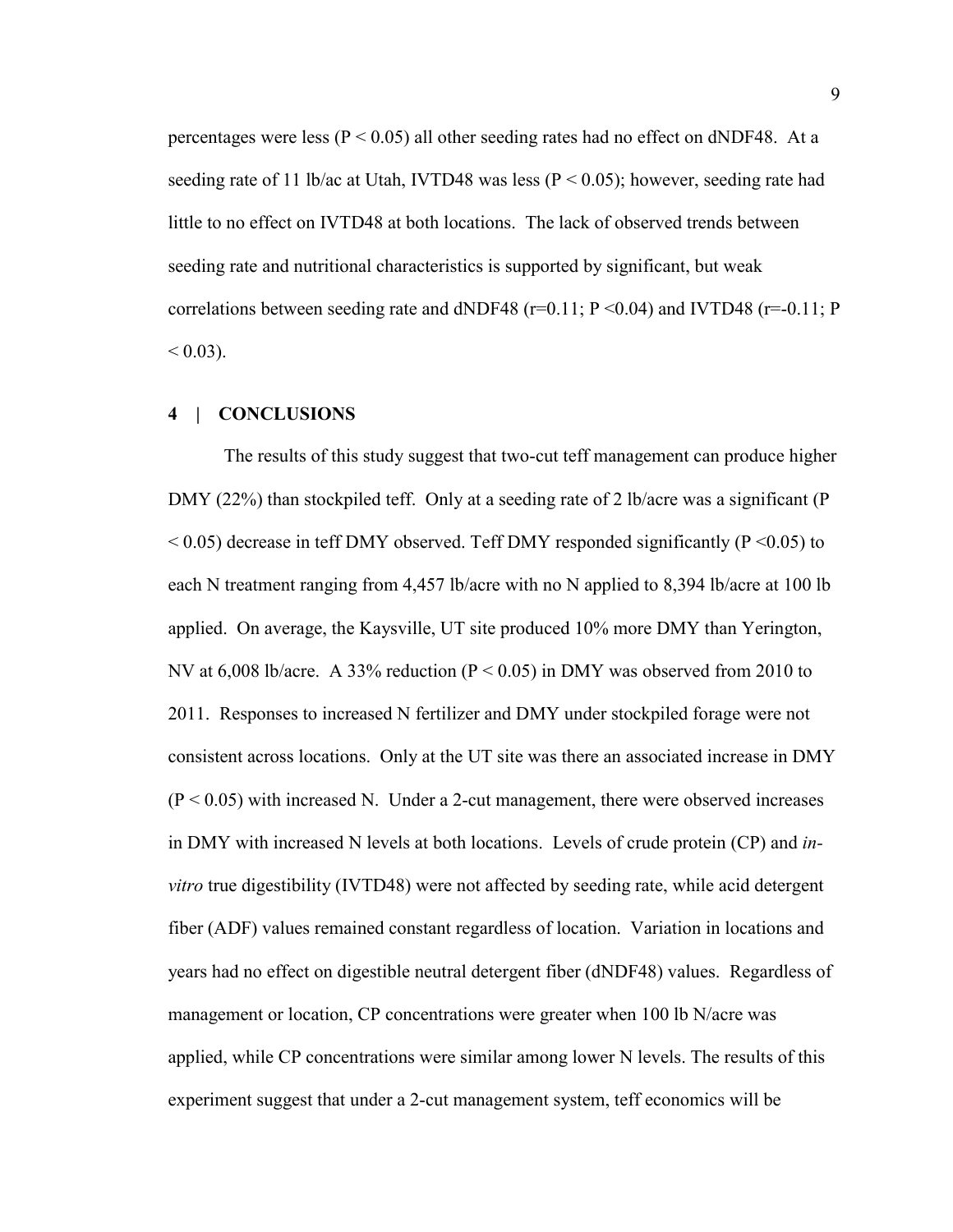percentages were less ( $P < 0.05$ ) all other seeding rates had no effect on dNDF48. At a seeding rate of 11 lb/ac at Utah, IVTD48 was less ( $P < 0.05$ ); however, seeding rate had little to no effect on IVTD48 at both locations. The lack of observed trends between seeding rate and nutritional characteristics is supported by significant, but weak correlations between seeding rate and dNDF48 (r=0.11;  $P \le 0.04$ ) and IVTD48 (r=0.11; P  $< 0.03$ ).

## **4 | CONCLUSIONS**

The results of this study suggest that two-cut teff management can produce higher DMY (22%) than stockpiled teff. Only at a seeding rate of 2 lb/acre was a significant (P  $< 0.05$ ) decrease in teff DMY observed. Teff DMY responded significantly (P $< 0.05$ ) to each N treatment ranging from 4,457 lb/acre with no N applied to 8,394 lb/acre at 100 lb applied. On average, the Kaysville, UT site produced 10% more DMY than Yerington, NV at 6,008 lb/acre. A 33% reduction ( $P < 0.05$ ) in DMY was observed from 2010 to 2011. Responses to increased N fertilizer and DMY under stockpiled forage were not consistent across locations. Only at the UT site was there an associated increase in DMY  $(P < 0.05)$  with increased N. Under a 2-cut management, there were observed increases in DMY with increased N levels at both locations. Levels of crude protein (CP) and *invitro* true digestibility (IVTD48) were not affected by seeding rate, while acid detergent fiber (ADF) values remained constant regardless of location. Variation in locations and years had no effect on digestible neutral detergent fiber (dNDF48) values. Regardless of management or location, CP concentrations were greater when 100 lb N/acre was applied, while CP concentrations were similar among lower N levels. The results of this experiment suggest that under a 2-cut management system, teff economics will be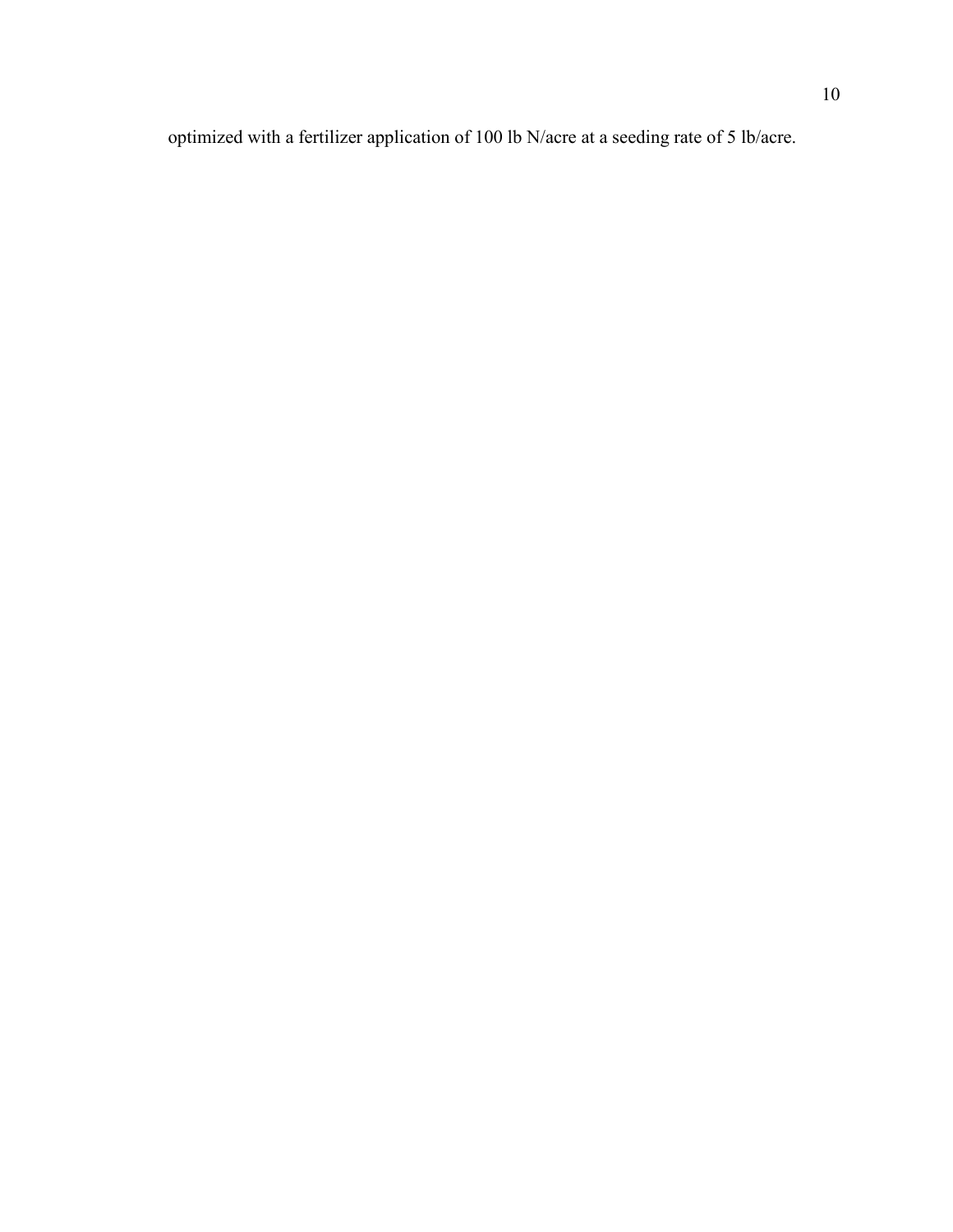optimized with a fertilizer application of 100 lb N/acre at a seeding rate of 5 lb/acre.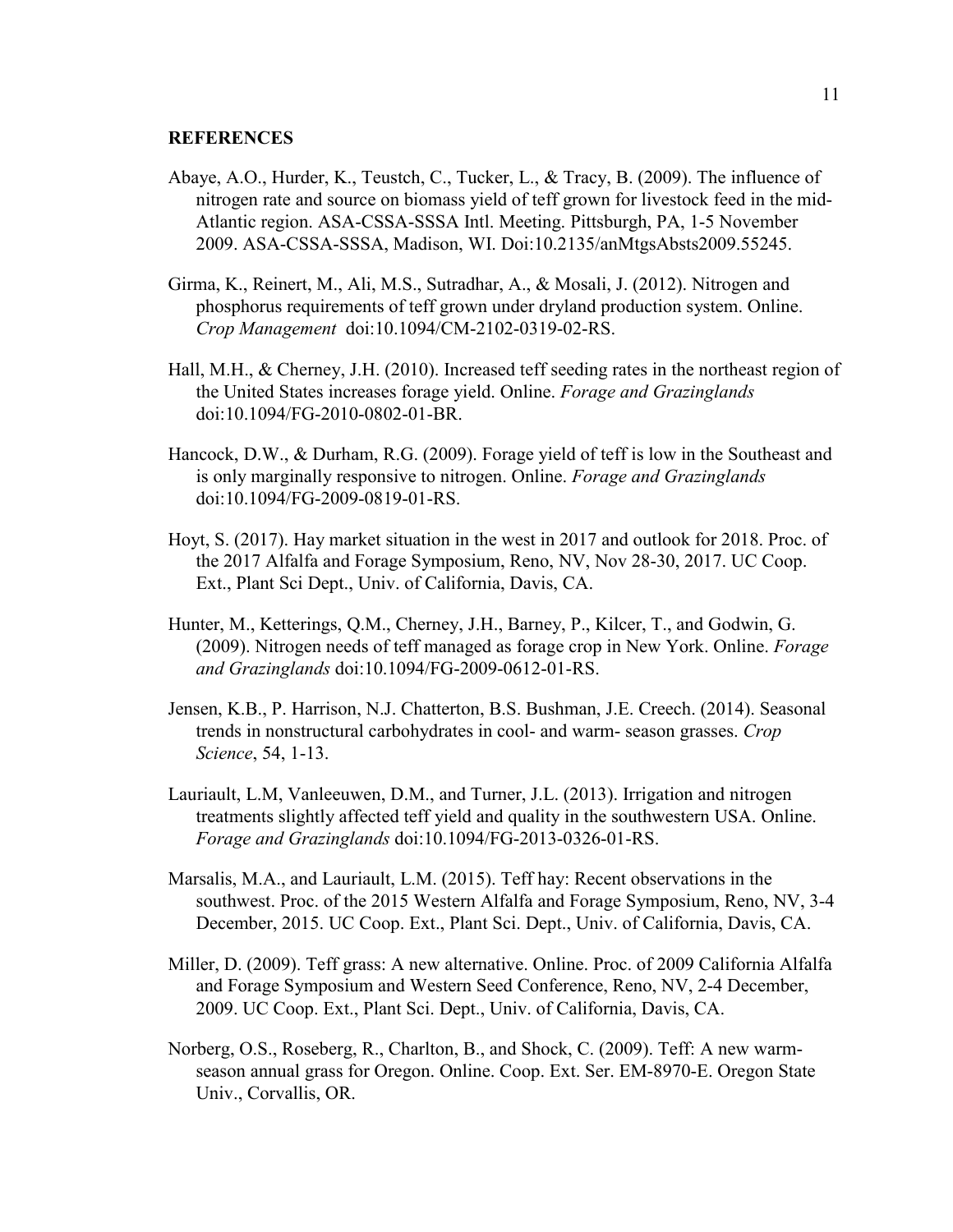#### **REFERENCES**

- Abaye, A.O., Hurder, K., Teustch, C., Tucker, L., & Tracy, B. (2009). The influence of nitrogen rate and source on biomass yield of teff grown for livestock feed in the mid-Atlantic region. ASA-CSSA-SSSA Intl. Meeting. Pittsburgh, PA, 1-5 November 2009. ASA-CSSA-SSSA, Madison, WI. Doi:10.2135/anMtgsAbsts2009.55245.
- Girma, K., Reinert, M., Ali, M.S., Sutradhar, A., & Mosali, J. (2012). Nitrogen and phosphorus requirements of teff grown under dryland production system. Online. *Crop Management* doi:10.1094/CM-2102-0319-02-RS.
- Hall, M.H., & Cherney, J.H. (2010). Increased teff seeding rates in the northeast region of the United States increases forage yield. Online. *Forage and Grazinglands* doi:10.1094/FG-2010-0802-01-BR.
- Hancock, D.W., & Durham, R.G. (2009). Forage yield of teff is low in the Southeast and is only marginally responsive to nitrogen. Online. *Forage and Grazinglands* doi:10.1094/FG-2009-0819-01-RS.
- Hoyt, S. (2017). Hay market situation in the west in 2017 and outlook for 2018. Proc. of the 2017 Alfalfa and Forage Symposium, Reno, NV, Nov 28-30, 2017. UC Coop. Ext., Plant Sci Dept., Univ. of California, Davis, CA.
- Hunter, M., Ketterings, Q.M., Cherney, J.H., Barney, P., Kilcer, T., and Godwin, G. (2009). Nitrogen needs of teff managed as forage crop in New York. Online. *Forage and Grazinglands* doi:10.1094/FG-2009-0612-01-RS.
- Jensen, K.B., P. Harrison, N.J. Chatterton, B.S. Bushman, J.E. Creech. (2014). Seasonal trends in nonstructural carbohydrates in cool- and warm- season grasses. *Crop Science*, 54, 1-13.
- Lauriault, L.M, Vanleeuwen, D.M., and Turner, J.L. (2013). Irrigation and nitrogen treatments slightly affected teff yield and quality in the southwestern USA. Online. *Forage and Grazinglands* doi:10.1094/FG-2013-0326-01-RS.
- Marsalis, M.A., and Lauriault, L.M. (2015). Teff hay: Recent observations in the southwest. Proc. of the 2015 Western Alfalfa and Forage Symposium, Reno, NV, 3-4 December, 2015. UC Coop. Ext., Plant Sci. Dept., Univ. of California, Davis, CA.
- Miller, D. (2009). Teff grass: A new alternative. Online. Proc. of 2009 California Alfalfa and Forage Symposium and Western Seed Conference, Reno, NV, 2-4 December, 2009. UC Coop. Ext., Plant Sci. Dept., Univ. of California, Davis, CA.
- Norberg, O.S., Roseberg, R., Charlton, B., and Shock, C. (2009). Teff: A new warmseason annual grass for Oregon. Online. Coop. Ext. Ser. EM-8970-E. Oregon State Univ., Corvallis, OR.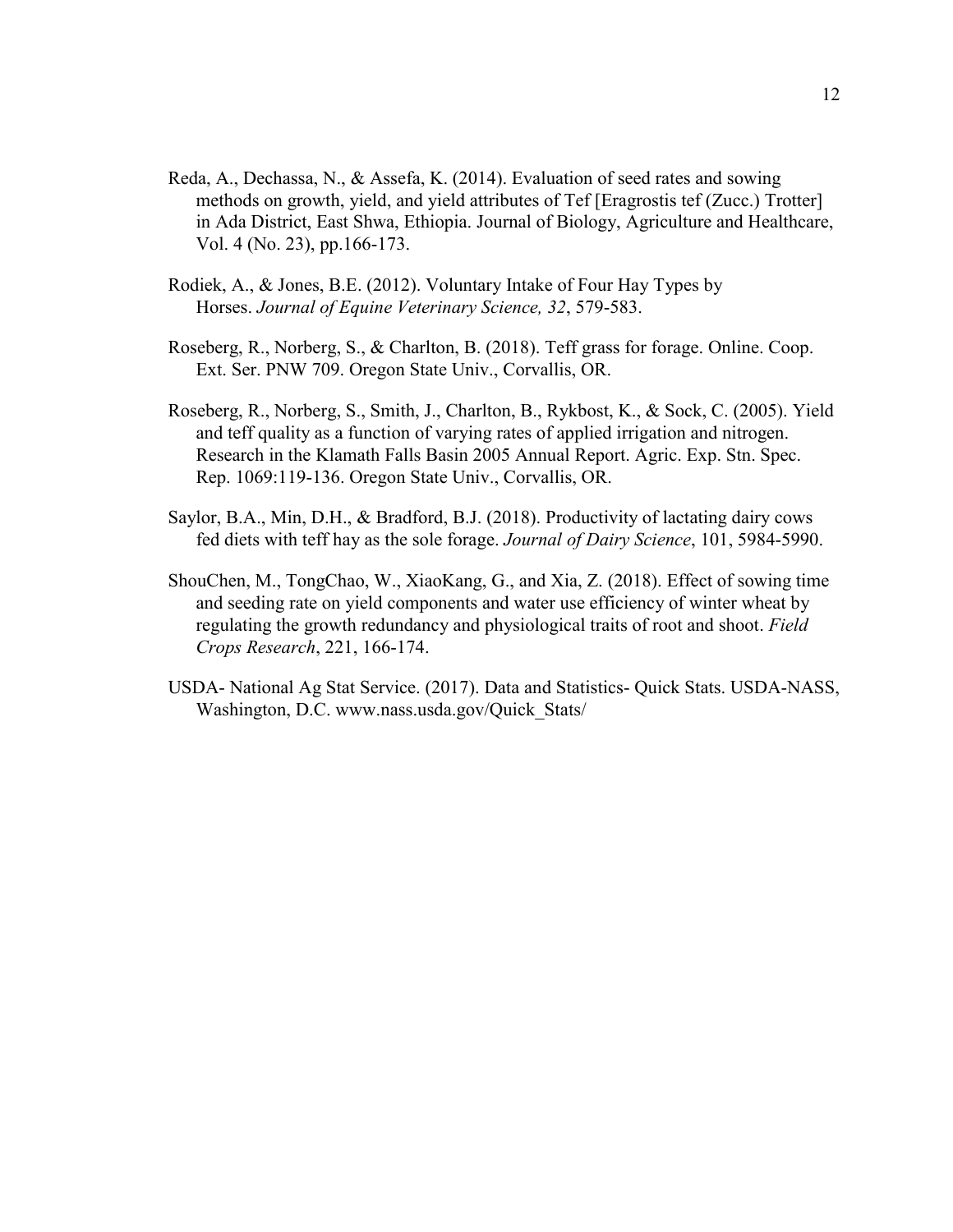- Reda, A., Dechassa, N., & Assefa, K. (2014). Evaluation of seed rates and sowing methods on growth, yield, and yield attributes of Tef [Eragrostis tef (Zucc.) Trotter] in Ada District, East Shwa, Ethiopia. Journal of Biology, Agriculture and Healthcare, Vol. 4 (No. 23), pp.166-173.
- Rodiek, A., & Jones, B.E. (2012). Voluntary Intake of Four Hay Types by Horses. *Journal of Equine Veterinary Science, 32*, 579-583.
- Roseberg, R., Norberg, S., & Charlton, B. (2018). Teff grass for forage. Online. Coop. Ext. Ser. PNW 709. Oregon State Univ., Corvallis, OR.
- Roseberg, R., Norberg, S., Smith, J., Charlton, B., Rykbost, K., & Sock, C. (2005). Yield and teff quality as a function of varying rates of applied irrigation and nitrogen. Research in the Klamath Falls Basin 2005 Annual Report. Agric. Exp. Stn. Spec. Rep. 1069:119-136. Oregon State Univ., Corvallis, OR.
- Saylor, B.A., Min, D.H., & Bradford, B.J. (2018). Productivity of lactating dairy cows fed diets with teff hay as the sole forage. *Journal of Dairy Science*, 101, 5984-5990.
- ShouChen, M., TongChao, W., XiaoKang, G., and Xia, Z. (2018). Effect of sowing time and seeding rate on yield components and water use efficiency of winter wheat by regulating the growth redundancy and physiological traits of root and shoot. *Field Crops Research*, 221, 166-174.
- USDA- National Ag Stat Service. (2017). Data and Statistics- Quick Stats. USDA-NASS, Washington, D.C. www.nass.usda.gov/Quick\_Stats/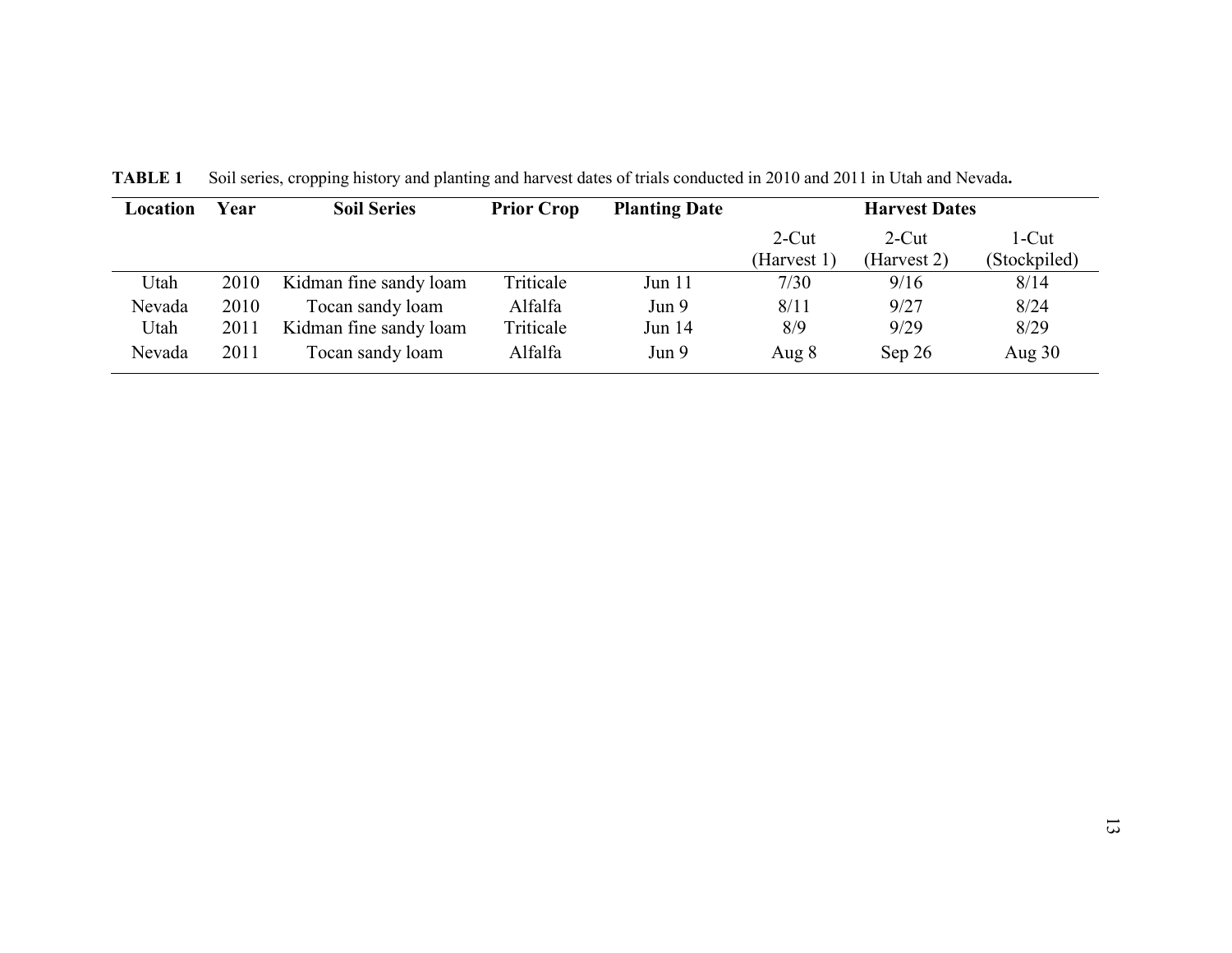| Location | Year | <b>Soil Series</b>     | <b>Prior Crop</b> | <b>Planting Date</b> | <b>Harvest Dates</b> |             |              |
|----------|------|------------------------|-------------------|----------------------|----------------------|-------------|--------------|
|          |      |                        |                   |                      | $2$ -Cut             | $2$ -Cut    | l-Cut        |
|          |      |                        |                   |                      | (Harvest 1)          | (Harvest 2) | (Stockpiled) |
| Utah     | 2010 | Kidman fine sandy loam | Triticale         | Jun 11               | 7/30                 | 9/16        | 8/14         |
| Nevada   | 2010 | Tocan sandy loam       | Alfalfa           | Jun 9                | 8/11                 | 9/27        | 8/24         |
| Utah     | 2011 | Kidman fine sandy loam | Triticale         | Jun 14               | 8/9                  | 9/29        | 8/29         |
| Nevada   | 2011 | Tocan sandy loam       | Alfalfa           | Jun 9                | Aug 8                | Sep $26$    | Aug $30$     |

**TABLE 1** Soil series, cropping history and planting and harvest dates of trials conducted in 2010 and 2011 in Utah and Nevada**.**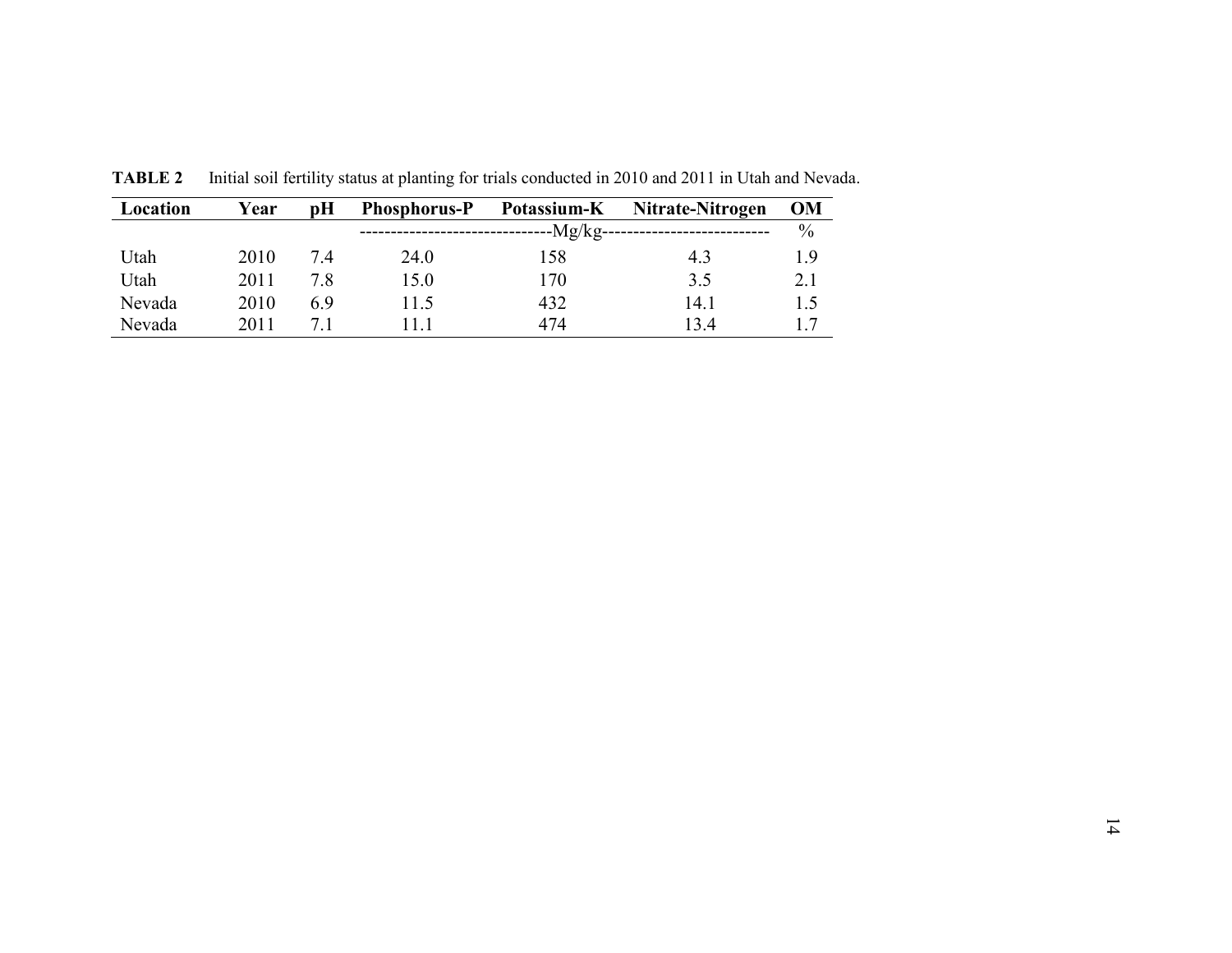| Location | Year | pH  | <b>Phosphorus-P</b> | Potassium-K                | Nitrate-Nitrogen | OM   |
|----------|------|-----|---------------------|----------------------------|------------------|------|
|          |      |     |                     | ------------------Ng/kg--- |                  | $\%$ |
| Utah     | 2010 | 7.4 | 24.0                | 158                        | 4.3              | 1.9  |
| Utah     | 2011 | 7.8 | 15.0                | 170                        | 3.5              | 2.1  |
| Nevada   | 2010 | 6.9 | 11.5                | 432                        | 14.1             | 1.5  |
| Nevada   | 2011 |     | l 1.1               | 474                        | 13.4             | 17   |

**TABLE 2** Initial soil fertility status at planting for trials conducted in 2010 and 2011 in Utah and Nevada.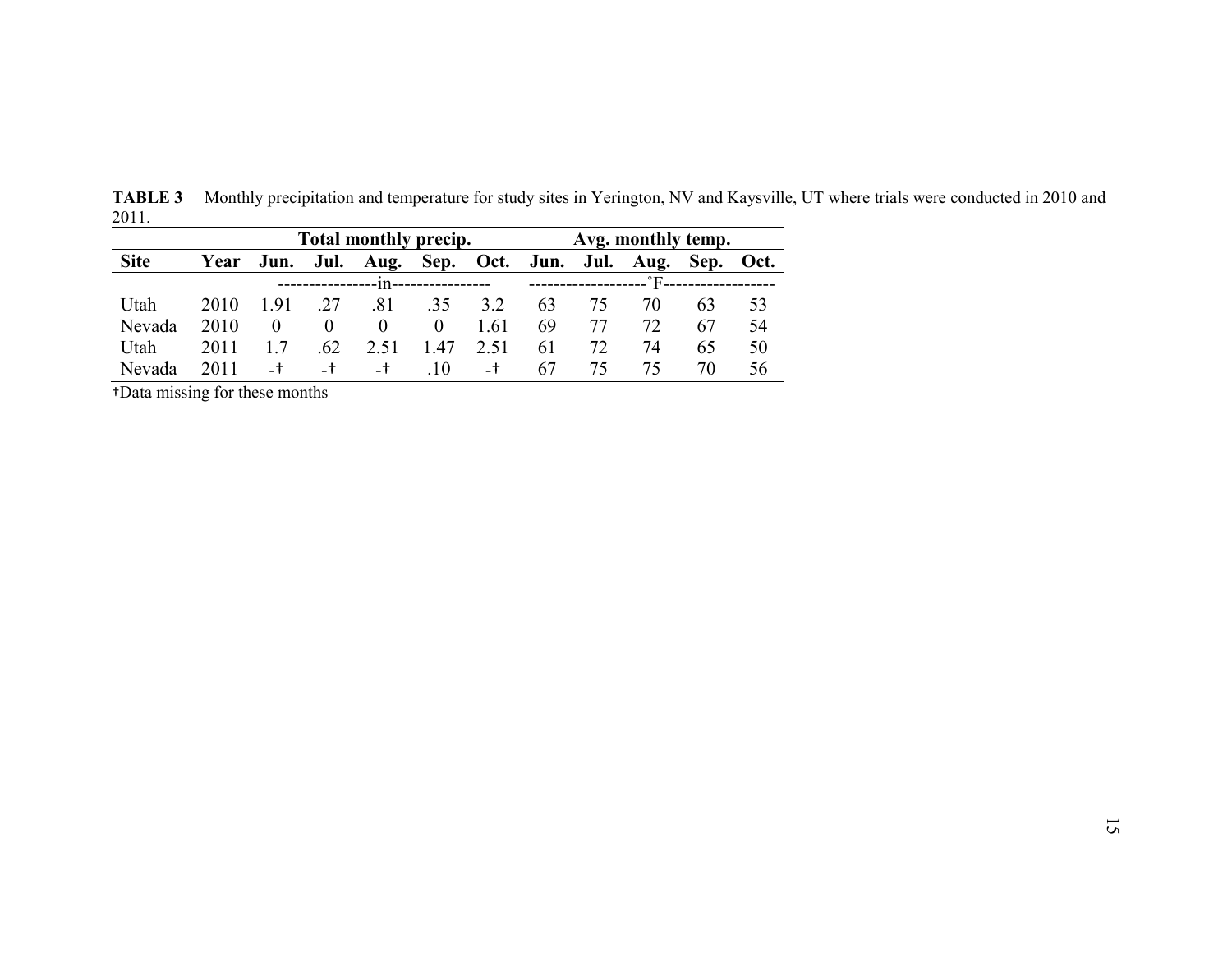|             |      |       |          | <b>Total monthly precip.</b>                           |                        |      |    | Avg. monthly temp. |                                |    |    |
|-------------|------|-------|----------|--------------------------------------------------------|------------------------|------|----|--------------------|--------------------------------|----|----|
| <b>Site</b> |      |       |          | Year Jun. Jul. Aug. Sep. Oct. Jun. Jul. Aug. Sep. Oct. |                        |      |    |                    |                                |    |    |
|             |      |       |          |                                                        | --111----------------- |      |    |                    | ____________________°F________ |    |    |
| Utah        | 2010 | 1.91  | .27      | .81                                                    | .35                    | 3.2  | 63 | 75.                | 70                             | 63 | 53 |
| Nevada      | 2010 |       | $\theta$ | $\theta$                                               | $\theta$               | 1.61 | 69 | 77                 | 72                             | 67 | 54 |
| Utah        | 2011 |       | .62      | 2.51                                                   | 1.47                   | 2.51 | 61 | 72.                | 74                             | 65 | 50 |
| Nevada      | 2011 | $-$ † | $-t$     | $-$ †                                                  | $\pm 10$               | $-1$ | 67 | 75.                | 75.                            | 70 | 56 |

**TABLE 3** Monthly precipitation and temperature for study sites in Yerington, NV and Kaysville, UT where trials were conducted in 2010 and 2011.  $\overline{\phantom{a}}$ 

†Data missing for these months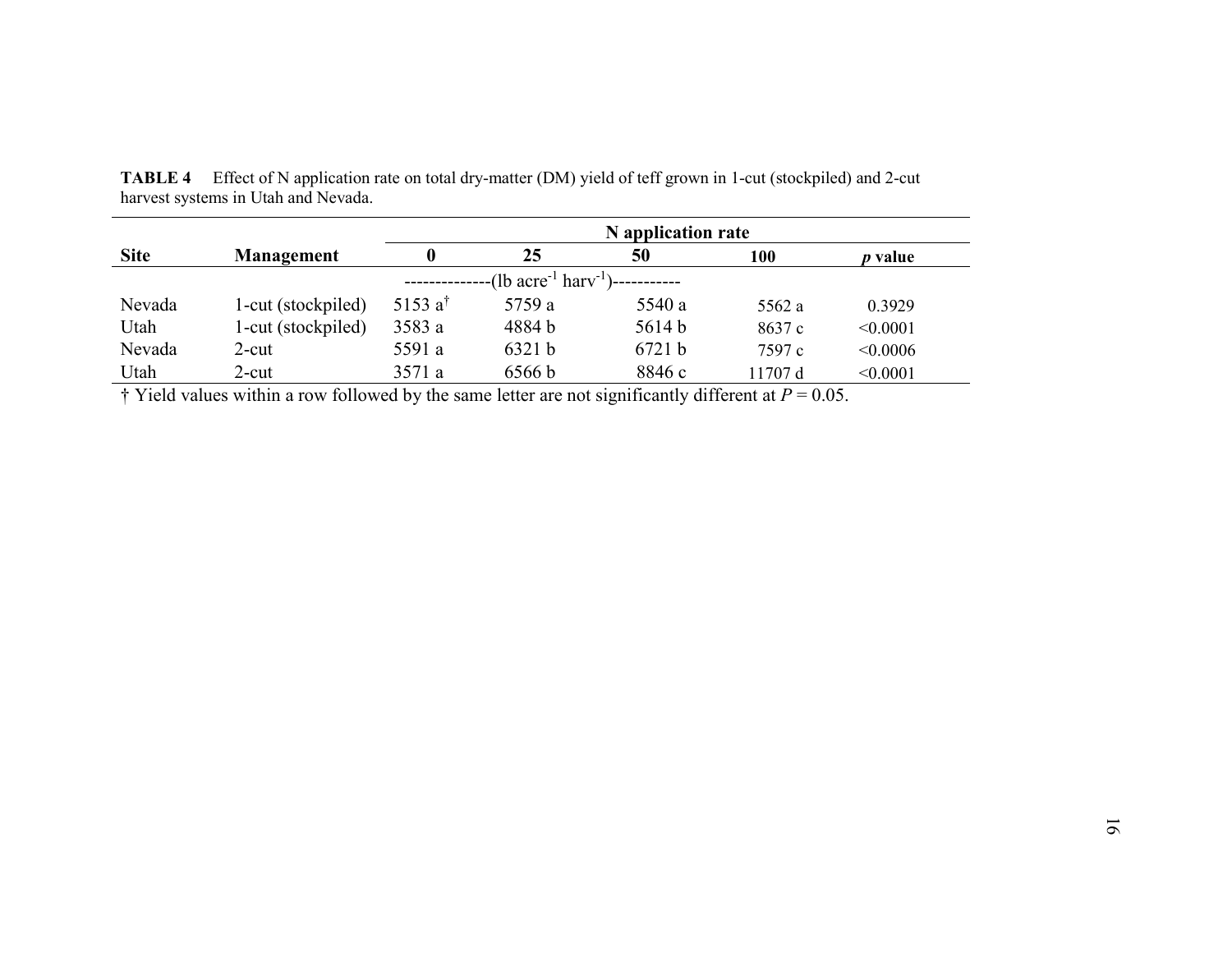|             |                    | N application rate |                                                             |        |          |          |  |  |  |  |  |  |
|-------------|--------------------|--------------------|-------------------------------------------------------------|--------|----------|----------|--|--|--|--|--|--|
| <b>Site</b> | Management         |                    | 25                                                          | 50     | 100      | p value  |  |  |  |  |  |  |
|             |                    |                    | $-(1b \; \text{acre}^{-1} \; \text{harv}^{-1})$ ----------- |        |          |          |  |  |  |  |  |  |
| Nevada      | 1-cut (stockpiled) | 5153 $a^{\dagger}$ | 5759 a                                                      | 5540 a | 5562 a   | 0.3929   |  |  |  |  |  |  |
| Utah        | 1-cut (stockpiled) | 3583 a             | 4884 b                                                      | 5614 b | 8637 c   | < 0.0001 |  |  |  |  |  |  |
| Nevada      | 2-cut              | 5591 a             | 6321 b                                                      | 6721 b | 7597 c   | < 0.0006 |  |  |  |  |  |  |
| Utah        | 2-cut              | 3571 a             | 6566b                                                       | 8846 c | l 1707 d | < 0.0001 |  |  |  |  |  |  |

**TABLE 4** Effect of N application rate on total dry-matter (DM) yield of teff grown in 1-cut (stockpiled) and 2-cut harvest systems in Utah and Nevada.

 $\dagger$  Yield values within a row followed by the same letter are not significantly different at  $P = 0.05$ .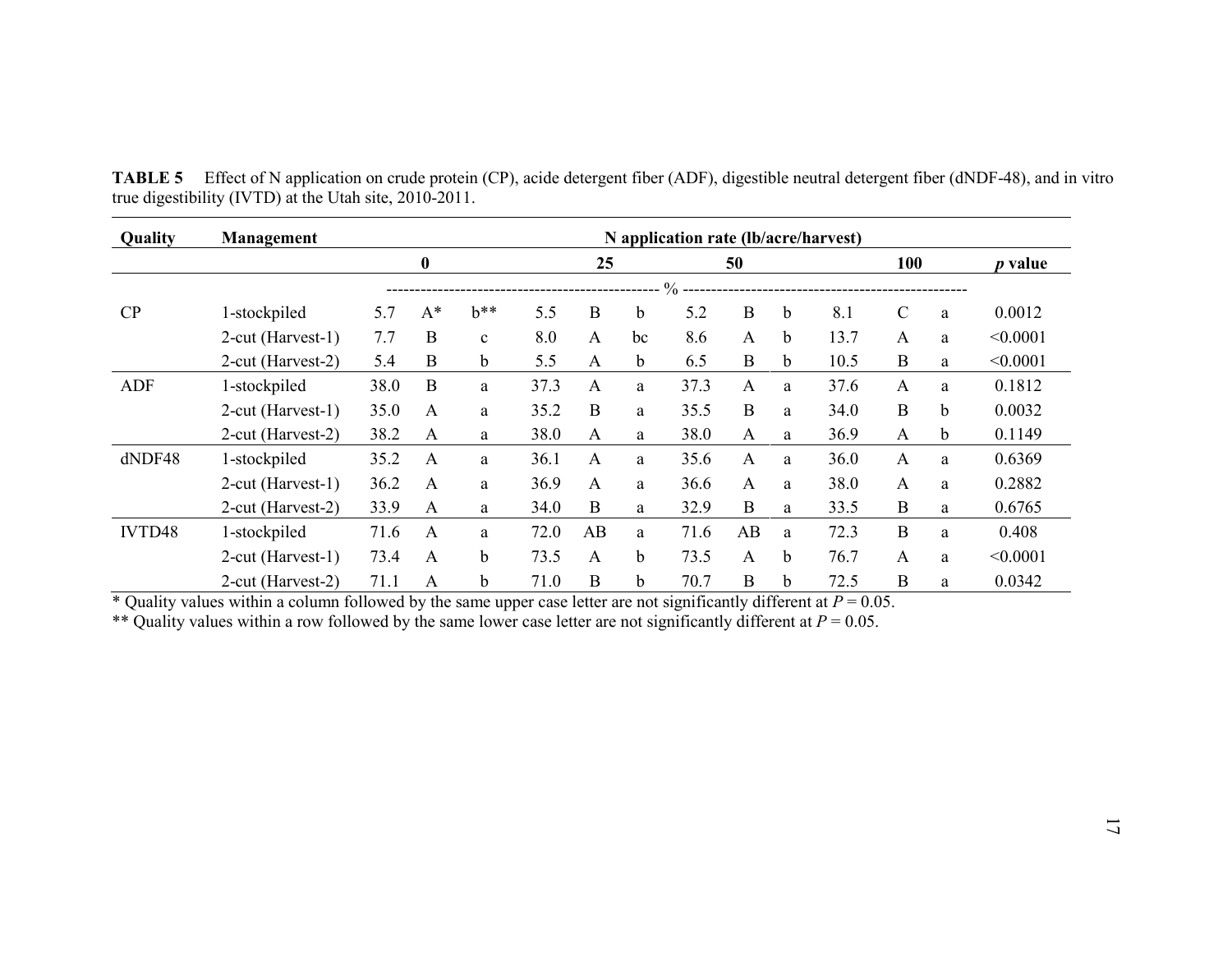| Quality    | Management        |      |              |              |      |              |    | N application rate (lb/acre/harvest) |              |             |      |               |                |          |
|------------|-------------------|------|--------------|--------------|------|--------------|----|--------------------------------------|--------------|-------------|------|---------------|----------------|----------|
|            |                   |      |              |              |      |              |    | 50                                   |              |             | 100  |               | <i>p</i> value |          |
|            |                   |      |              |              |      |              |    | $\frac{0}{0}$                        |              |             |      |               |                |          |
| CP         | 1-stockpiled      | 5.7  | $A^*$        | $b**$        | 5.5  | B            | b  | 5.2                                  | $\bf{B}$     | b           | 8.1  | $\mathcal{C}$ | a              | 0.0012   |
|            | 2-cut (Harvest-1) | 7.7  | B            | $\mathbf{c}$ | 8.0  | A            | bc | 8.6                                  | A            | $\mathbf b$ | 13.7 | A             | a              | < 0.0001 |
|            | 2-cut (Harvest-2) | 5.4  | B            | $\mathbf b$  | 5.5  | A            | b. | 6.5                                  | B            | b.          | 10.5 | B             | a              | < 0.0001 |
| <b>ADF</b> | 1-stockpiled      | 38.0 | B            | a            | 37.3 | A            | a  | 37.3                                 | A            | a           | 37.6 | A             | a              | 0.1812   |
|            | 2-cut (Harvest-1) | 35.0 | $\mathsf{A}$ | a            | 35.2 | B            | a  | 35.5                                 | B            | a           | 34.0 | B             | b              | 0.0032   |
|            | 2-cut (Harvest-2) | 38.2 | A            | a            | 38.0 | $\mathsf{A}$ | a  | 38.0                                 | A            | a           | 36.9 | A             | b.             | 0.1149   |
| dNDF48     | 1-stockpiled      | 35.2 | $\mathsf{A}$ | a            | 36.1 | A            | a  | 35.6                                 | A            | a           | 36.0 | A             | a              | 0.6369   |
|            | 2-cut (Harvest-1) | 36.2 | $\mathsf{A}$ | a            | 36.9 | A            | a  | 36.6                                 | $\mathsf{A}$ | a           | 38.0 | $\mathbf{A}$  | a              | 0.2882   |
|            | 2-cut (Harvest-2) | 33.9 | A            | a            | 34.0 | B            | a  | 32.9                                 | B            | a           | 33.5 | $\bf{B}$      | a              | 0.6765   |
| IVTD48     | 1-stockpiled      | 71.6 | A            | a            | 72.0 | AB           | a  | 71.6                                 | AB           | a           | 72.3 | $\mathbf B$   | a              | 0.408    |
|            | 2-cut (Harvest-1) | 73.4 | A            | b            | 73.5 | A            | b  | 73.5                                 | A            | $\mathbf b$ | 76.7 | A             | a              | < 0.0001 |
|            | 2-cut (Harvest-2) | 71.1 | А            | b            | 71.0 | $\bf{B}$     | b  | 70.7                                 | $\bf{B}$     | $\mathbf b$ | 72.5 | $\mathbf B$   | a              | 0.0342   |

**TABLE 5** Effect of N application on crude protein (CP), acide detergent fiber (ADF), digestible neutral detergent fiber (dNDF-48), and in vitro true digestibility (IVTD) at the Utah site, 2010-2011.

\* Quality values within a column followed by the same upper case letter are not significantly different at  $P = 0.05$ .

\*\* Quality values within a row followed by the same lower case letter are not significantly different at  $P = 0.05$ .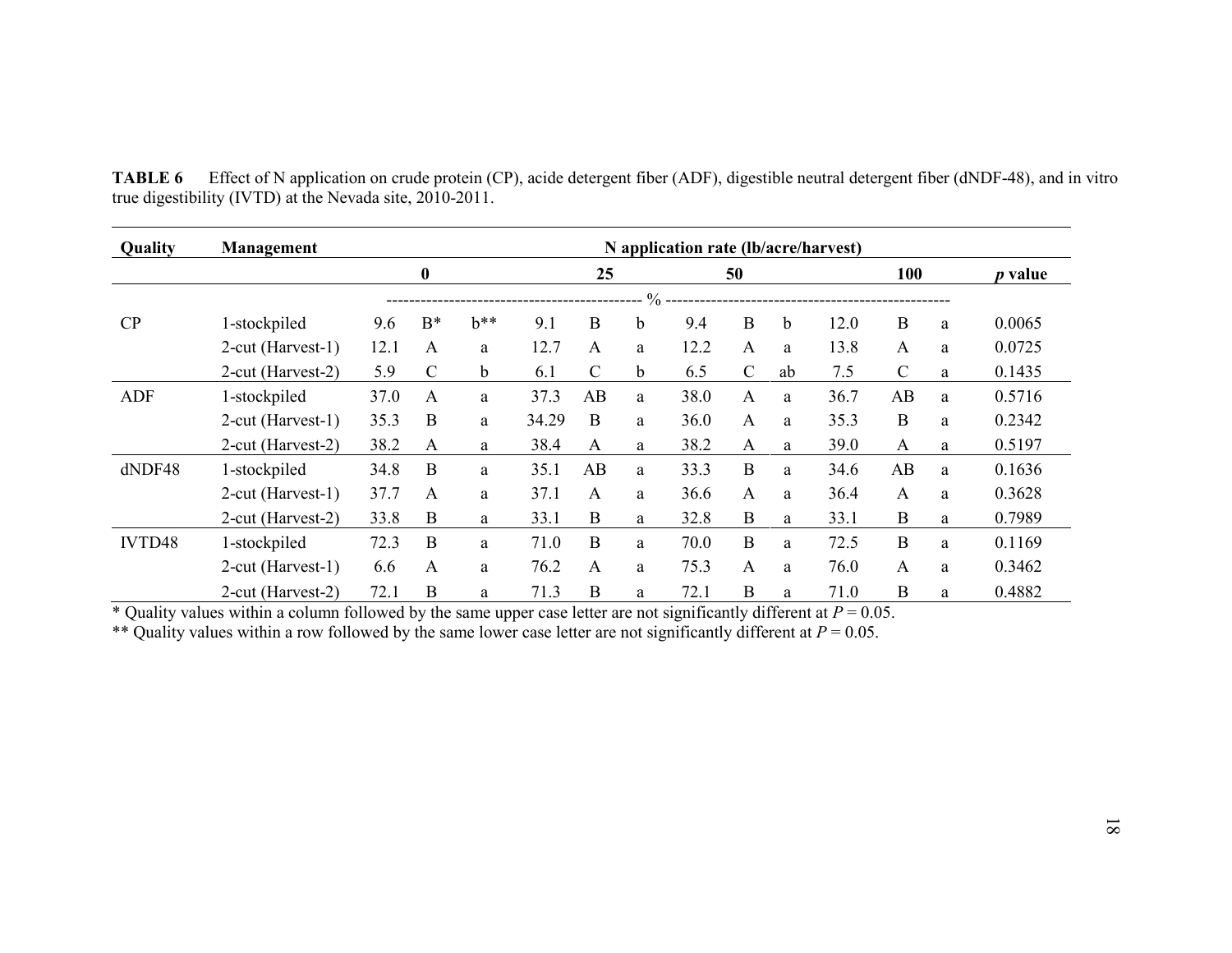| Quality    | Management        |                  | N application rate (lb/acre/harvest) |             |       |               |               |      |               |    |      |                |   |        |
|------------|-------------------|------------------|--------------------------------------|-------------|-------|---------------|---------------|------|---------------|----|------|----------------|---|--------|
|            |                   | $\boldsymbol{0}$ |                                      |             |       | 25<br>50      |               |      | 100           |    |      | <i>p</i> value |   |        |
|            |                   |                  |                                      |             |       |               | $\frac{0}{0}$ |      |               |    |      |                |   |        |
| CP         | 1-stockpiled      | 9.6              | $B^*$                                | $b**$       | 9.1   | B             | b             | 9.4  | B             | b  | 12.0 | $\bf{B}$       | a | 0.0065 |
|            | 2-cut (Harvest-1) | 12.1             | A                                    | a           | 12.7  | A             | a             | 12.2 | A             | a  | 13.8 | A              | a | 0.0725 |
|            | 2-cut (Harvest-2) | 5.9              | $\mathsf{C}$                         | $\mathbf b$ | 6.1   | $\mathcal{C}$ | $\mathbf b$   | 6.5  | $\mathcal{C}$ | ab | 7.5  | $\mathcal{C}$  | a | 0.1435 |
| <b>ADF</b> | 1-stockpiled      | 37.0             | A                                    | a           | 37.3  | AB            | a             | 38.0 | A             | a  | 36.7 | AB             | a | 0.5716 |
|            | 2-cut (Harvest-1) | 35.3             | B                                    | a           | 34.29 | B             | a             | 36.0 | A             | a  | 35.3 | $\bf{B}$       | a | 0.2342 |
|            | 2-cut (Harvest-2) | 38.2             | A                                    | a           | 38.4  | A             | a             | 38.2 | A             | a  | 39.0 | A              | a | 0.5197 |
| dNDF48     | 1-stockpiled      | 34.8             | B                                    | a           | 35.1  | AB            | a             | 33.3 | $\bf{B}$      | a  | 34.6 | AB             | a | 0.1636 |
|            | 2-cut (Harvest-1) | 37.7             | $\mathsf{A}$                         | a           | 37.1  | A             | a             | 36.6 | A             | a  | 36.4 | A              | a | 0.3628 |
|            | 2-cut (Harvest-2) | 33.8             | B                                    | a           | 33.1  | B             | a             | 32.8 | B             | a  | 33.1 | $\bf{B}$       | a | 0.7989 |
| IVTD48     | 1-stockpiled      | 72.3             | B                                    | a           | 71.0  | B             | a             | 70.0 | $\mathbf{B}$  | a  | 72.5 | $\mathbf B$    | a | 0.1169 |
|            | 2-cut (Harvest-1) | 6.6              | A                                    | a           | 76.2  | A             | a             | 75.3 | A             | a  | 76.0 | A              | a | 0.3462 |
|            | 2-cut (Harvest-2) | 72.1             | B                                    | a           | 71.3  | $\mathbf B$   | a             | 72.1 | B             | a  | 71.0 | $\mathbf B$    | a | 0.4882 |

**TABLE 6** Effect of N application on crude protein (CP), acide detergent fiber (ADF), digestible neutral detergent fiber (dNDF-48), and in vitro true digestibility (IVTD) at the Nevada site, 2010-2011.

\* Quality values within a column followed by the same upper case letter are not significantly different at  $P = 0.05$ .

\*\* Quality values within a row followed by the same lower case letter are not significantly different at  $P = 0.05$ .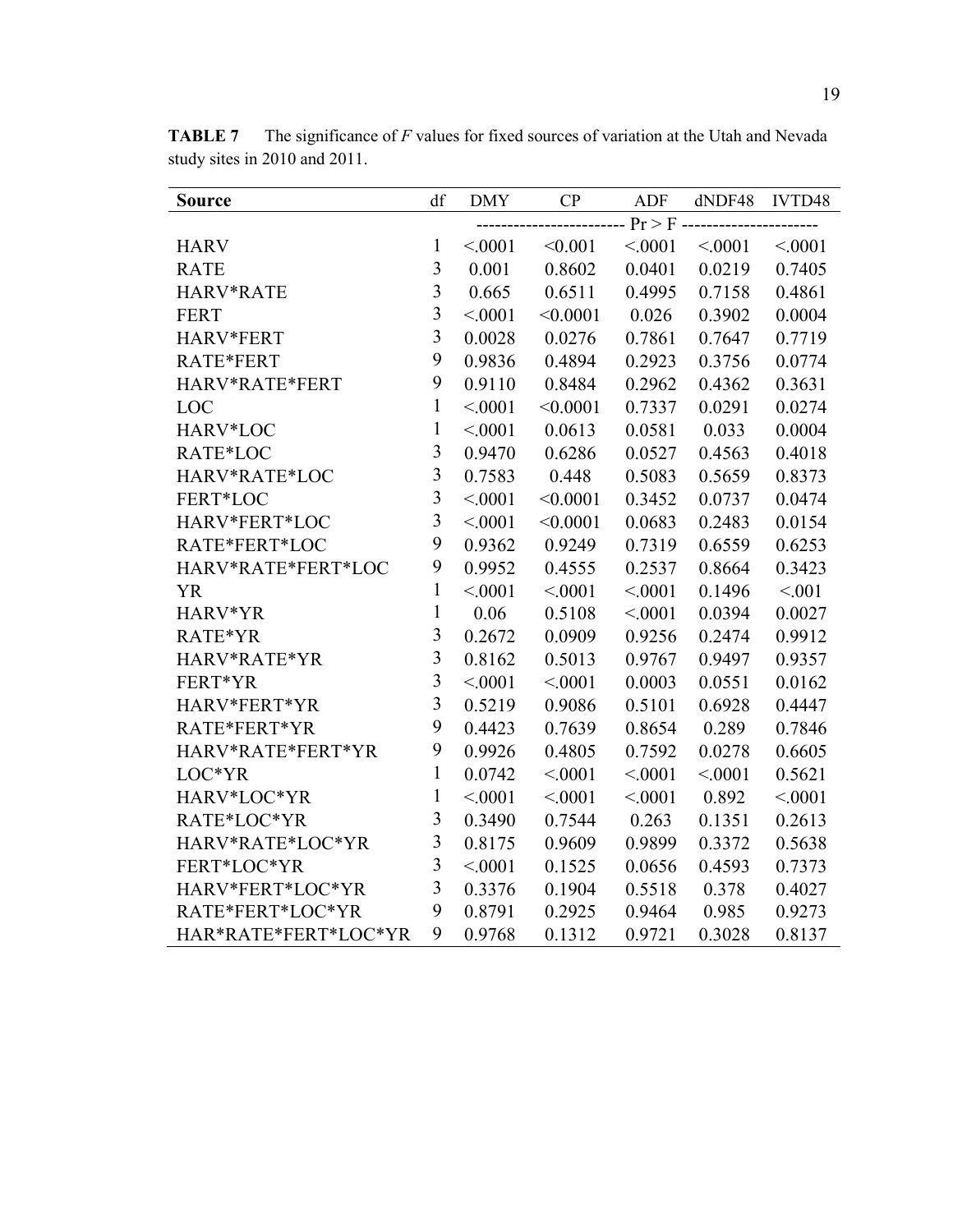| <b>Source</b>        | df                      | <b>DMY</b> | CP       | <b>ADF</b>         | dNDF48  | IVTD48  |
|----------------------|-------------------------|------------|----------|--------------------|---------|---------|
|                      |                         |            |          | $- Pr > F$ ------- |         |         |
| <b>HARV</b>          | $\mathbf{1}$            | < 0001     | < 0.001  | < .0001            | < 0.001 | < 0001  |
| <b>RATE</b>          | 3                       | 0.001      | 0.8602   | 0.0401             | 0.0219  | 0.7405  |
| HARV*RATE            | $\overline{3}$          | 0.665      | 0.6511   | 0.4995             | 0.7158  | 0.4861  |
| <b>FERT</b>          | $\overline{\mathbf{3}}$ | < .0001    | < 0.0001 | 0.026              | 0.3902  | 0.0004  |
| HARV*FERT            | $\overline{\mathbf{3}}$ | 0.0028     | 0.0276   | 0.7861             | 0.7647  | 0.7719  |
| RATE*FERT            | 9                       | 0.9836     | 0.4894   | 0.2923             | 0.3756  | 0.0774  |
| HARV*RATE*FERT       | 9                       | 0.9110     | 0.8484   | 0.2962             | 0.4362  | 0.3631  |
| LOC                  | $\mathbf{1}$            | < .0001    | < 0.0001 | 0.7337             | 0.0291  | 0.0274  |
| HARV*LOC             | $\mathbf{1}$            | < .0001    | 0.0613   | 0.0581             | 0.033   | 0.0004  |
| RATE*LOC             | $\overline{3}$          | 0.9470     | 0.6286   | 0.0527             | 0.4563  | 0.4018  |
| HARV*RATE*LOC        | $\overline{\mathbf{3}}$ | 0.7583     | 0.448    | 0.5083             | 0.5659  | 0.8373  |
| FERT*LOC             | $\overline{\mathbf{3}}$ | < .0001    | < 0.0001 | 0.3452             | 0.0737  | 0.0474  |
| HARV*FERT*LOC        | $\overline{3}$          | < .0001    | < 0.0001 | 0.0683             | 0.2483  | 0.0154  |
| RATE*FERT*LOC        | 9                       | 0.9362     | 0.9249   | 0.7319             | 0.6559  | 0.6253  |
| HARV*RATE*FERT*LOC   | 9                       | 0.9952     | 0.4555   | 0.2537             | 0.8664  | 0.3423  |
| <b>YR</b>            | $\mathbf{1}$            | < .0001    | < .0001  | < .0001            | 0.1496  | < 0.01  |
| HARV*YR              | $\mathbf{1}$            | 0.06       | 0.5108   | < .0001            | 0.0394  | 0.0027  |
| RATE*YR              | $\overline{3}$          | 0.2672     | 0.0909   | 0.9256             | 0.2474  | 0.9912  |
| HARV*RATE*YR         | $\overline{3}$          | 0.8162     | 0.5013   | 0.9767             | 0.9497  | 0.9357  |
| FERT*YR              | $\overline{\mathbf{3}}$ | < .0001    | < .0001  | 0.0003             | 0.0551  | 0.0162  |
| HARV*FERT*YR         | $\overline{3}$          | 0.5219     | 0.9086   | 0.5101             | 0.6928  | 0.4447  |
| RATE*FERT*YR         | 9                       | 0.4423     | 0.7639   | 0.8654             | 0.289   | 0.7846  |
| HARV*RATE*FERT*YR    | 9                       | 0.9926     | 0.4805   | 0.7592             | 0.0278  | 0.6605  |
| LOC*YR               | $\mathbf{1}$            | 0.0742     | < .0001  | < 0001             | < .0001 | 0.5621  |
| HARV*LOC*YR          | $\mathbf{1}$            | < .0001    | < .0001  | < .0001            | 0.892   | < .0001 |
| RATE*LOC*YR          | $\overline{3}$          | 0.3490     | 0.7544   | 0.263              | 0.1351  | 0.2613  |
| HARV*RATE*LOC*YR     | $\overline{\mathbf{3}}$ | 0.8175     | 0.9609   | 0.9899             | 0.3372  | 0.5638  |
| FERT*LOC*YR          | $\overline{3}$          | < 0001     | 0.1525   | 0.0656             | 0.4593  | 0.7373  |
| HARV*FERT*LOC*YR     | $\overline{\mathbf{3}}$ | 0.3376     | 0.1904   | 0.5518             | 0.378   | 0.4027  |
| RATE*FERT*LOC*YR     | 9                       | 0.8791     | 0.2925   | 0.9464             | 0.985   | 0.9273  |
| HAR*RATE*FERT*LOC*YR | 9                       | 0.9768     | 0.1312   | 0.9721             | 0.3028  | 0.8137  |

**TABLE 7** The significance of *F* values for fixed sources of variation at the Utah and Nevada study sites in 2010 and 2011.